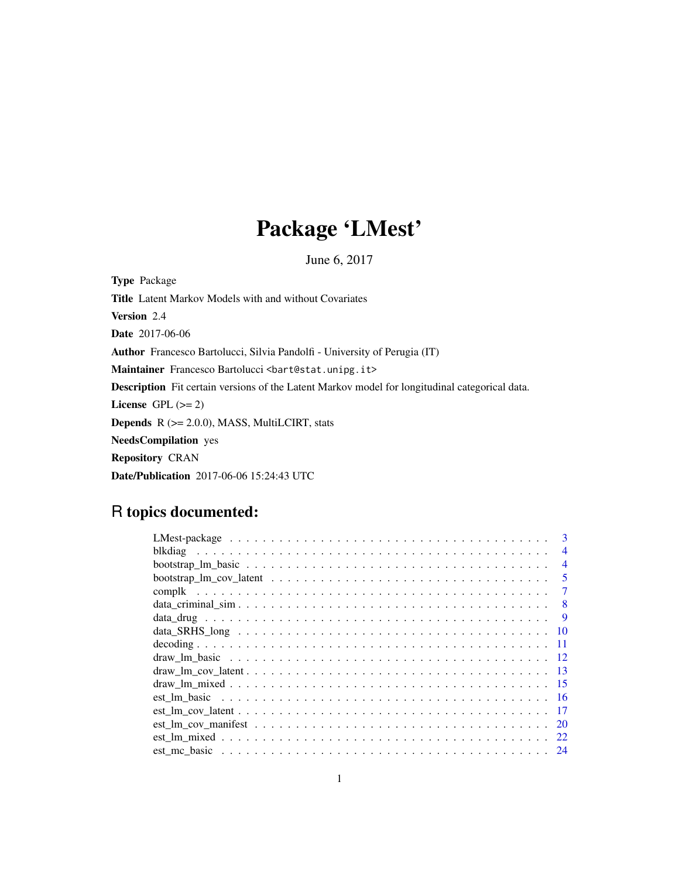# Package 'LMest'

June 6, 2017

Type Package Title Latent Markov Models with and without Covariates Version 2.4 Date 2017-06-06 Author Francesco Bartolucci, Silvia Pandolfi - University of Perugia (IT) Maintainer Francesco Bartolucci <br/>bart@stat.unipg.it> Description Fit certain versions of the Latent Markov model for longitudinal categorical data. License GPL  $(>= 2)$ Depends R (>= 2.0.0), MASS, MultiLCIRT, stats NeedsCompilation yes Repository CRAN Date/Publication 2017-06-06 15:24:43 UTC

# R topics documented:

| $\mathbf{3}$             |
|--------------------------|
| $\overline{\mathcal{A}}$ |
| $\overline{4}$           |
| $\overline{\mathbf{5}}$  |
|                          |
| 8                        |
| -9                       |
| - 10                     |
|                          |
|                          |
|                          |
|                          |
|                          |
| - 17                     |
| <b>20</b>                |
|                          |
|                          |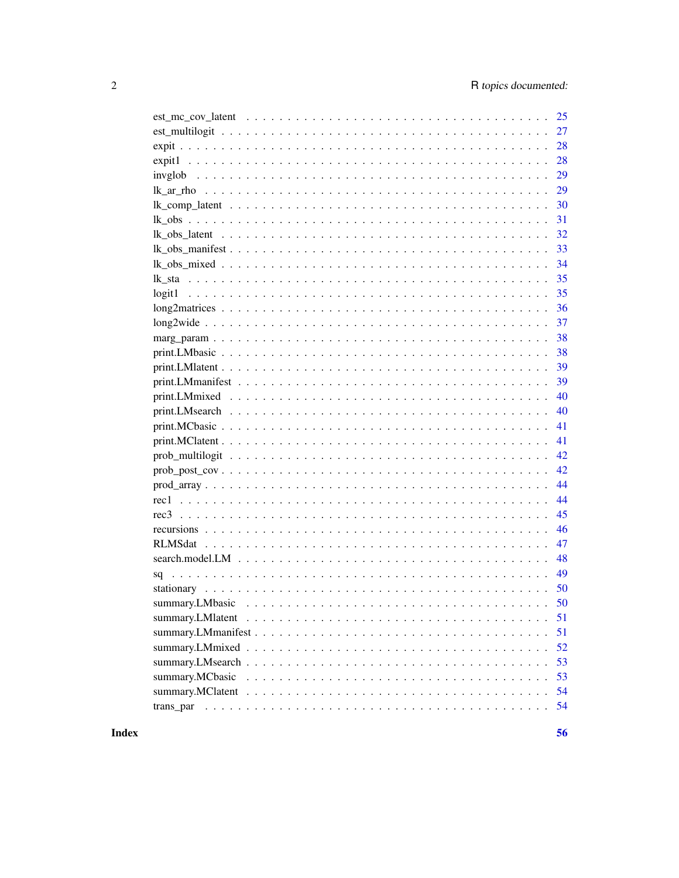|                                                                                                             | 28 |
|-------------------------------------------------------------------------------------------------------------|----|
|                                                                                                             | 28 |
|                                                                                                             | 29 |
|                                                                                                             | 29 |
|                                                                                                             | 30 |
|                                                                                                             | 31 |
|                                                                                                             | 32 |
|                                                                                                             | 33 |
|                                                                                                             | 34 |
|                                                                                                             | 35 |
|                                                                                                             | 35 |
|                                                                                                             | 36 |
|                                                                                                             | 37 |
|                                                                                                             | 38 |
|                                                                                                             | 38 |
|                                                                                                             | 39 |
|                                                                                                             | 39 |
|                                                                                                             | 40 |
|                                                                                                             | 40 |
|                                                                                                             | 41 |
|                                                                                                             | 41 |
|                                                                                                             | 42 |
| $prob\_post\_cov \dots \dots \dots \dots \dots \dots \dots \dots \dots \dots \dots \dots \dots \dots \dots$ | 42 |
|                                                                                                             | 44 |
|                                                                                                             | 44 |
|                                                                                                             | 45 |
|                                                                                                             | 46 |
|                                                                                                             | 47 |
|                                                                                                             | 48 |
|                                                                                                             | 49 |
|                                                                                                             | 50 |
|                                                                                                             |    |
|                                                                                                             | 51 |
|                                                                                                             | 51 |
|                                                                                                             | 52 |
|                                                                                                             | 53 |
|                                                                                                             | 53 |
|                                                                                                             | 54 |
|                                                                                                             | 54 |
|                                                                                                             |    |

**Index**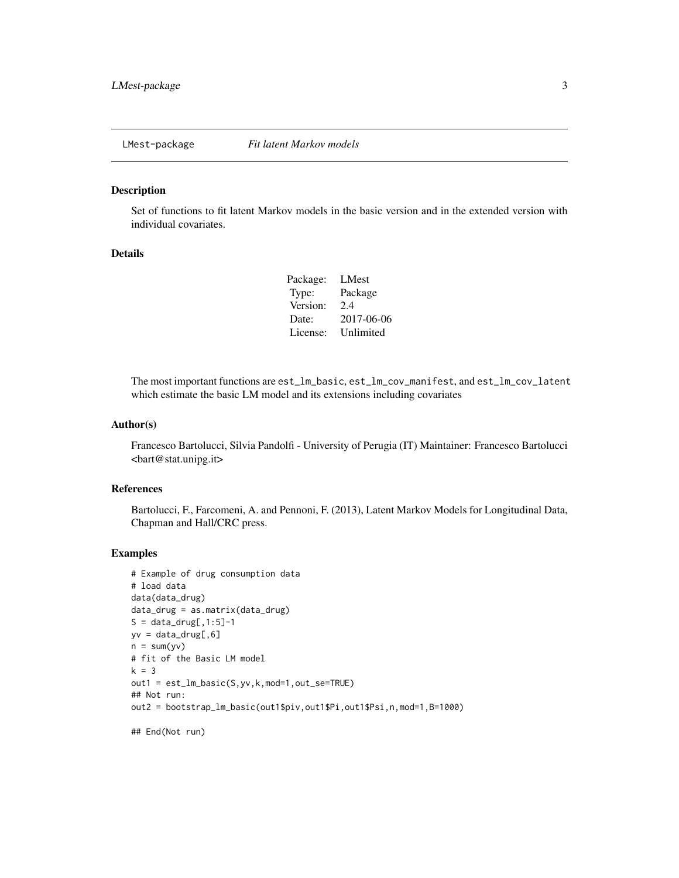<span id="page-2-0"></span>

Set of functions to fit latent Markov models in the basic version and in the extended version with individual covariates.

## Details

| Package: | LMest      |
|----------|------------|
| Type:    | Package    |
| Version: | 2.4        |
| Date:    | 2017-06-06 |
| License: | Unlimited  |
|          |            |

The most important functions are est\_lm\_basic, est\_lm\_cov\_manifest, and est\_lm\_cov\_latent which estimate the basic LM model and its extensions including covariates

#### Author(s)

Francesco Bartolucci, Silvia Pandolfi - University of Perugia (IT) Maintainer: Francesco Bartolucci <bart@stat.unipg.it>

#### References

Bartolucci, F., Farcomeni, A. and Pennoni, F. (2013), Latent Markov Models for Longitudinal Data, Chapman and Hall/CRC press.

#### Examples

```
# Example of drug consumption data
# load data
data(data_drug)
data_drug = as.matrix(data_drug)
S = data_drug[, 1:5]-1yv = data_drug[, 6]n = sum(yv)# fit of the Basic LM model
k = 3out1 = est_lm_basic(S,yv,k,mod=1,out_se=TRUE)
## Not run:
out2 = bootstrap_lm_basic(out1$piv,out1$Pi,out1$Psi,n,mod=1,B=1000)
```
## End(Not run)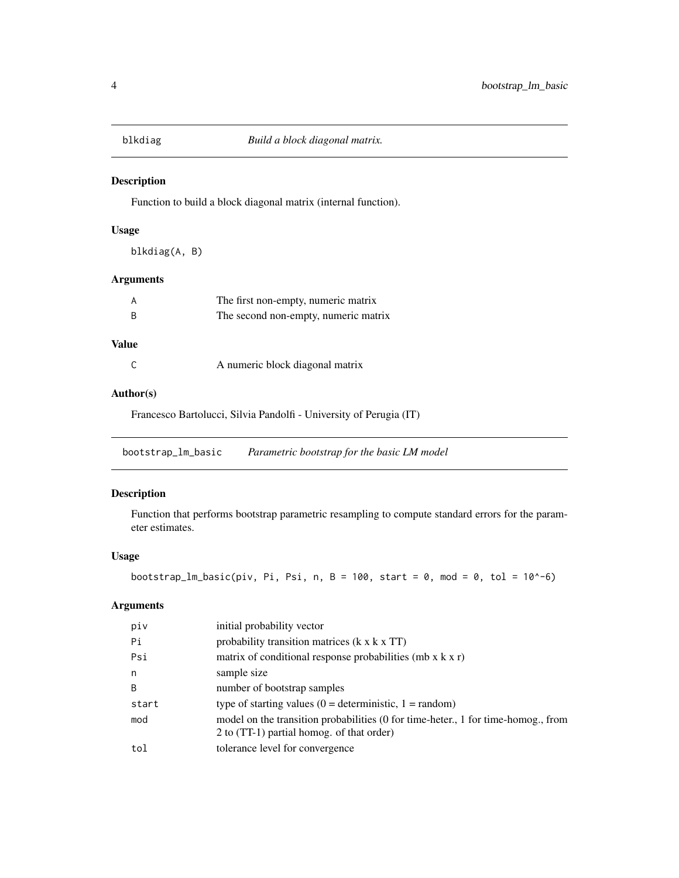<span id="page-3-0"></span>

Function to build a block diagonal matrix (internal function).

## Usage

blkdiag(A, B)

## Arguments

| A | The first non-empty, numeric matrix  |
|---|--------------------------------------|
| R | The second non-empty, numeric matrix |

# Value

|  | A numeric block diagonal matrix |  |
|--|---------------------------------|--|
|--|---------------------------------|--|

## Author(s)

Francesco Bartolucci, Silvia Pandolfi - University of Perugia (IT)

bootstrap\_lm\_basic *Parametric bootstrap for the basic LM model*

# Description

Function that performs bootstrap parametric resampling to compute standard errors for the parameter estimates.

## Usage

bootstrap\_lm\_basic(piv, Pi, Psi, n, B = 100, start = 0, mod = 0, tol = 10^-6)

# Arguments

| piv   | initial probability vector                                                                                                    |
|-------|-------------------------------------------------------------------------------------------------------------------------------|
| Pi    | probability transition matrices $(k \times k \times TT)$                                                                      |
| Psi   | matrix of conditional response probabilities (mb $x$ k $x$ r)                                                                 |
| n     | sample size                                                                                                                   |
| B     | number of bootstrap samples                                                                                                   |
| start | type of starting values $(0 =$ deterministic, $1 =$ random)                                                                   |
| mod   | model on the transition probabilities (0 for time-heter, 1 for time-homog., from<br>2 to (TT-1) partial homog. of that order) |
| tol   | tolerance level for convergence                                                                                               |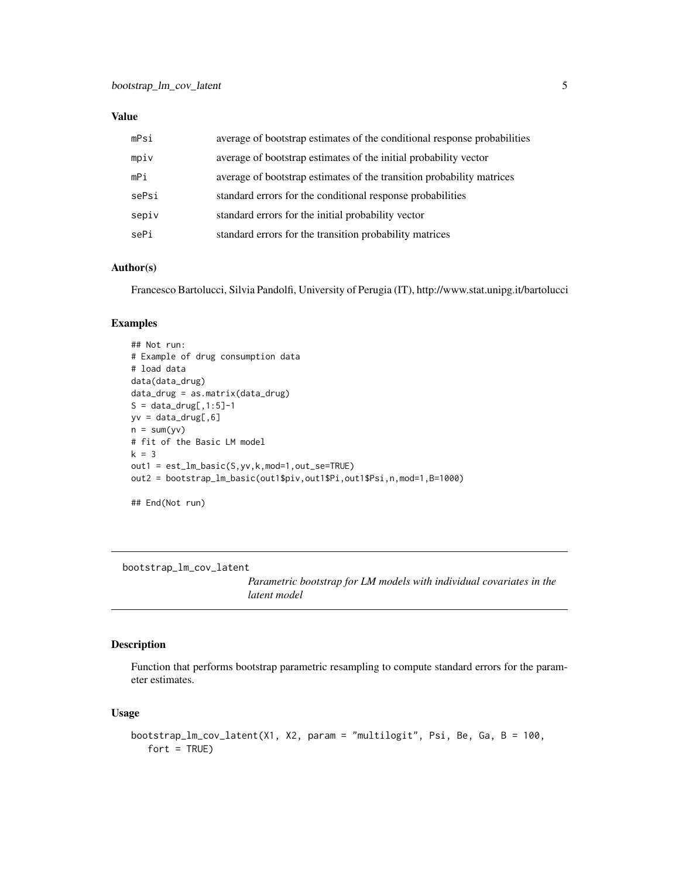## <span id="page-4-0"></span>Value

| mPsi  | average of bootstrap estimates of the conditional response probabilities |
|-------|--------------------------------------------------------------------------|
| mpiv  | average of bootstrap estimates of the initial probability vector         |
| mPi   | average of bootstrap estimates of the transition probability matrices    |
| sePsi | standard errors for the conditional response probabilities               |
| sepiv | standard errors for the initial probability vector                       |
| sePi  | standard errors for the transition probability matrices                  |

## Author(s)

Francesco Bartolucci, Silvia Pandolfi, University of Perugia (IT), http://www.stat.unipg.it/bartolucci

## Examples

```
## Not run:
# Example of drug consumption data
# load data
data(data_drug)
data_drug = as.matrix(data_drug)
S = data_drug[, 1:5]-1yv = data_drug[, 6]n = sum(yv)# fit of the Basic LM model
k = 3out1 = est_lm_basic(S,yv,k,mod=1,out_se=TRUE)
out2 = bootstrap_lm_basic(out1$piv,out1$Pi,out1$Psi,n,mod=1,B=1000)
## End(Not run)
```
bootstrap\_lm\_cov\_latent

*Parametric bootstrap for LM models with individual covariates in the latent model*

## Description

Function that performs bootstrap parametric resampling to compute standard errors for the parameter estimates.

#### Usage

```
bootstrap_lm_cov_latent(X1, X2, param = "multilogit", Psi, Be, Ga, B = 100,
   fort = TRUE)
```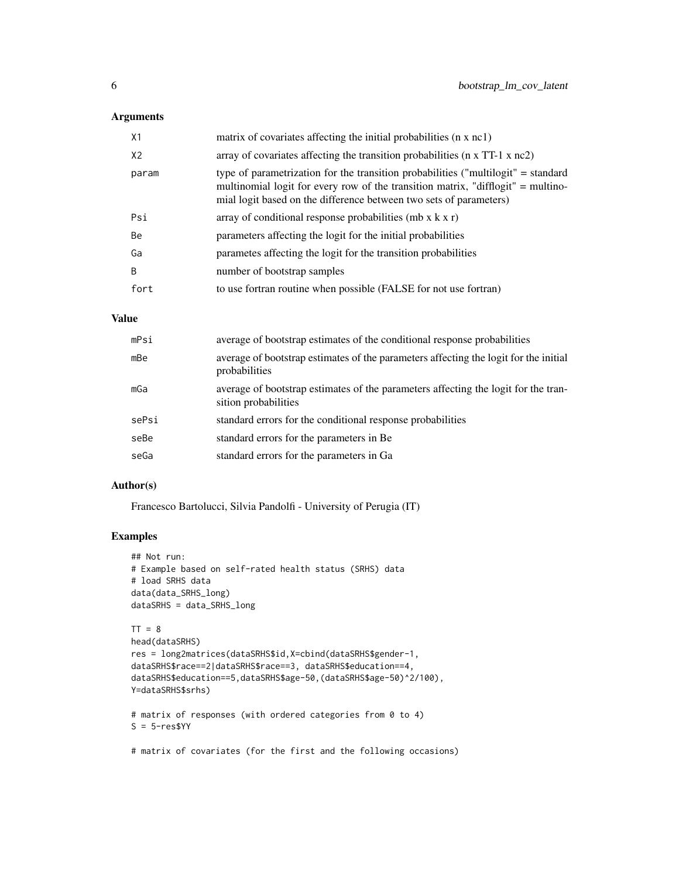## Arguments

| X1             | matrix of covariates affecting the initial probabilities (n x nc1)                                                                                                                                                                          |
|----------------|---------------------------------------------------------------------------------------------------------------------------------------------------------------------------------------------------------------------------------------------|
| X <sub>2</sub> | array of covariates affecting the transition probabilities ( $n \times TT-1 \times nc2$ )                                                                                                                                                   |
| param          | type of parametrization for the transition probabilities ("multilogit" = standard<br>multinomial logit for every row of the transition matrix, "difflogit" = multino-<br>mial logit based on the difference between two sets of parameters) |
| Psi            | array of conditional response probabilities (mb $x$ k $x$ r)                                                                                                                                                                                |
| Be             | parameters affecting the logit for the initial probabilities                                                                                                                                                                                |
| Ga             | parametes affecting the logit for the transition probabilities                                                                                                                                                                              |
| B              | number of bootstrap samples                                                                                                                                                                                                                 |
| fort           | to use fortran routine when possible (FALSE for not use fortran)                                                                                                                                                                            |

# Value

| mPsi  | average of bootstrap estimates of the conditional response probabilities                                   |
|-------|------------------------------------------------------------------------------------------------------------|
| mBe   | average of bootstrap estimates of the parameters affecting the logit for the initial<br>probabilities      |
| mGa   | average of bootstrap estimates of the parameters affecting the logit for the tran-<br>sition probabilities |
| sePsi | standard errors for the conditional response probabilities                                                 |
| seBe  | standard errors for the parameters in Be.                                                                  |
| seGa  | standard errors for the parameters in Ga                                                                   |

#### Author(s)

Francesco Bartolucci, Silvia Pandolfi - University of Perugia (IT)

## Examples

```
## Not run:
# Example based on self-rated health status (SRHS) data
# load SRHS data
data(data_SRHS_long)
dataSRHS = data_SRHS_long
TT = 8head(dataSRHS)
res = long2matrices(dataSRHS$id,X=cbind(dataSRHS$gender-1,
dataSRHS$race==2|dataSRHS$race==3, dataSRHS$education==4,
dataSRHS$education==5,dataSRHS$age-50,(dataSRHS$age-50)^2/100),
Y=dataSRHS$srhs)
# matrix of responses (with ordered categories from 0 to 4)
S = 5-resSYY
```
# matrix of covariates (for the first and the following occasions)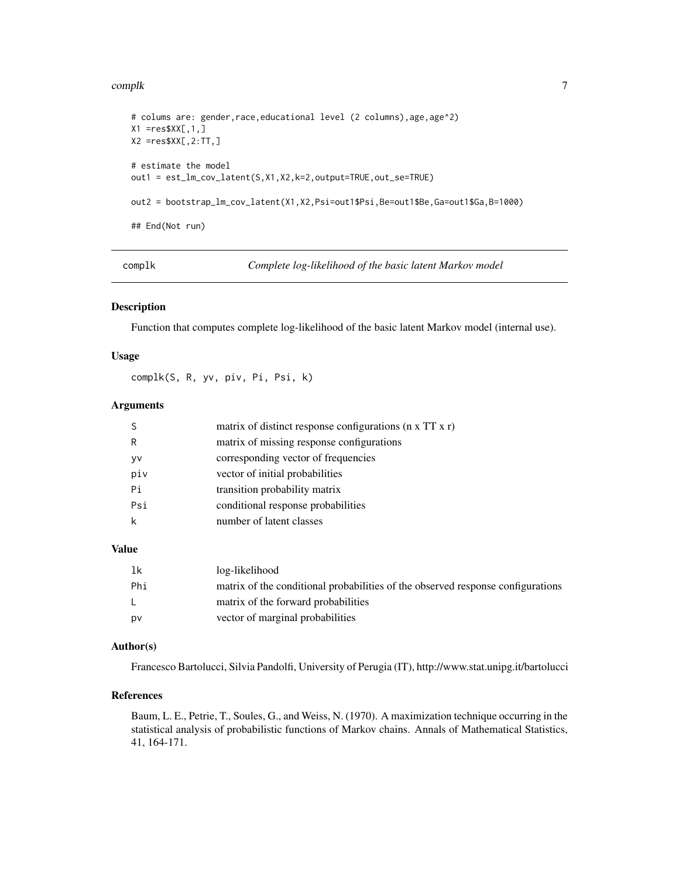#### <span id="page-6-0"></span>complk to the complex of the complex of the complex of the complex of the complex of the complex of the complex of the complex of the complex of the complex of the complex of the complex of the complex of the complex of th

```
# colums are: gender,race,educational level (2 columns),age,age^2)
X1 = res$XX[, 1, ]X2 =res$XX[,2:TT,]
# estimate the model
out1 = est_lm_cov_latent(S,X1,X2,k=2,output=TRUE,out_se=TRUE)
out2 = bootstrap_lm_cov_latent(X1,X2,Psi=out1$Psi,Be=out1$Be,Ga=out1$Ga,B=1000)
## End(Not run)
```
complk *Complete log-likelihood of the basic latent Markov model*

#### Description

Function that computes complete log-likelihood of the basic latent Markov model (internal use).

#### Usage

complk(S, R, yv, piv, Pi, Psi, k)

## Arguments

|     | matrix of distinct response configurations $(n \times TT \times r)$ |
|-----|---------------------------------------------------------------------|
| R   | matrix of missing response configurations                           |
| y٧  | corresponding vector of frequencies                                 |
| piv | vector of initial probabilities                                     |
| Pi  | transition probability matrix                                       |
| Psi | conditional response probabilities                                  |
|     | number of latent classes                                            |
|     |                                                                     |

## Value

| -1k | log-likelihood                                                                  |
|-----|---------------------------------------------------------------------------------|
| Phi | matrix of the conditional probabilities of the observed response configurations |
| L.  | matrix of the forward probabilities                                             |
| pv  | vector of marginal probabilities                                                |

## Author(s)

Francesco Bartolucci, Silvia Pandolfi, University of Perugia (IT), http://www.stat.unipg.it/bartolucci

#### References

Baum, L. E., Petrie, T., Soules, G., and Weiss, N. (1970). A maximization technique occurring in the statistical analysis of probabilistic functions of Markov chains. Annals of Mathematical Statistics, 41, 164-171.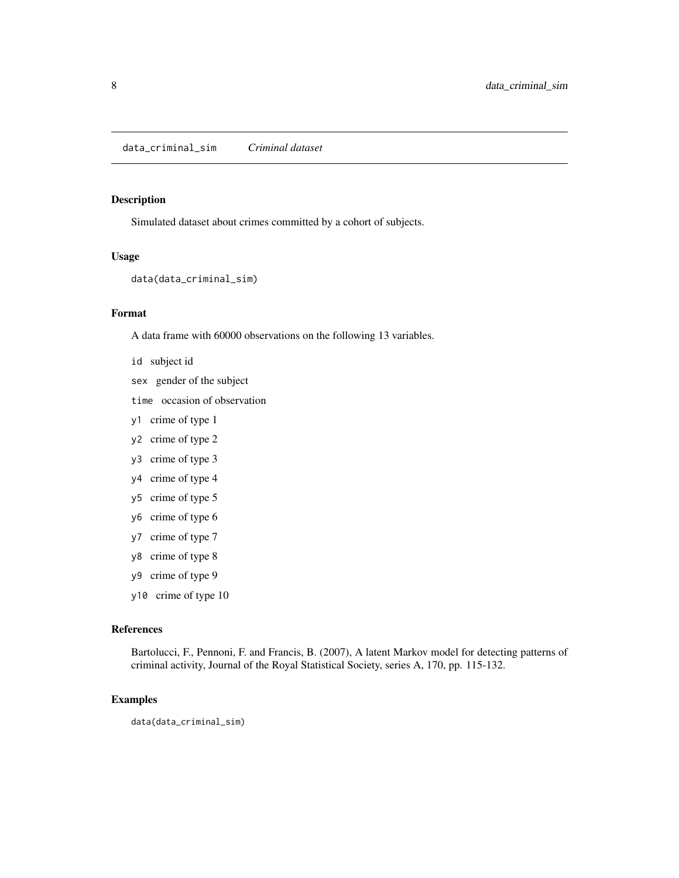<span id="page-7-0"></span>Simulated dataset about crimes committed by a cohort of subjects.

#### Usage

```
data(data_criminal_sim)
```
## Format

A data frame with 60000 observations on the following 13 variables.

- id subject id
- sex gender of the subject
- time occasion of observation
- y1 crime of type 1
- y2 crime of type 2
- y3 crime of type 3
- y4 crime of type 4
- y5 crime of type 5
- y6 crime of type 6
- y7 crime of type 7
- y8 crime of type 8
- y9 crime of type 9
- y10 crime of type 10

#### References

Bartolucci, F., Pennoni, F. and Francis, B. (2007), A latent Markov model for detecting patterns of criminal activity, Journal of the Royal Statistical Society, series A, 170, pp. 115-132.

#### Examples

data(data\_criminal\_sim)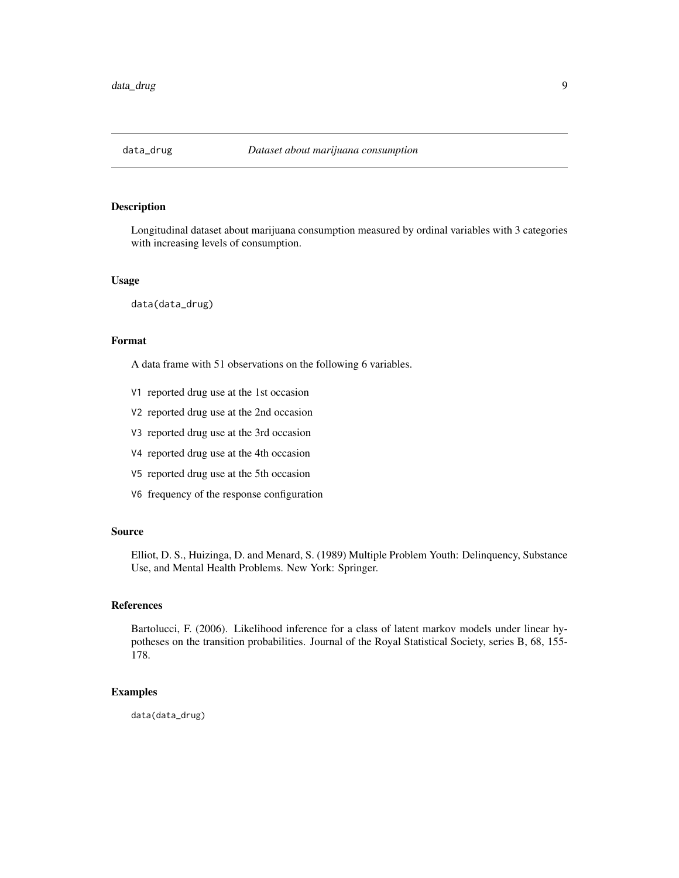<span id="page-8-0"></span>

Longitudinal dataset about marijuana consumption measured by ordinal variables with 3 categories with increasing levels of consumption.

#### Usage

data(data\_drug)

## Format

A data frame with 51 observations on the following 6 variables.

- V1 reported drug use at the 1st occasion
- V2 reported drug use at the 2nd occasion
- V3 reported drug use at the 3rd occasion
- V4 reported drug use at the 4th occasion
- V5 reported drug use at the 5th occasion
- V6 frequency of the response configuration

#### Source

Elliot, D. S., Huizinga, D. and Menard, S. (1989) Multiple Problem Youth: Delinquency, Substance Use, and Mental Health Problems. New York: Springer.

#### References

Bartolucci, F. (2006). Likelihood inference for a class of latent markov models under linear hypotheses on the transition probabilities. Journal of the Royal Statistical Society, series B, 68, 155- 178.

#### Examples

data(data\_drug)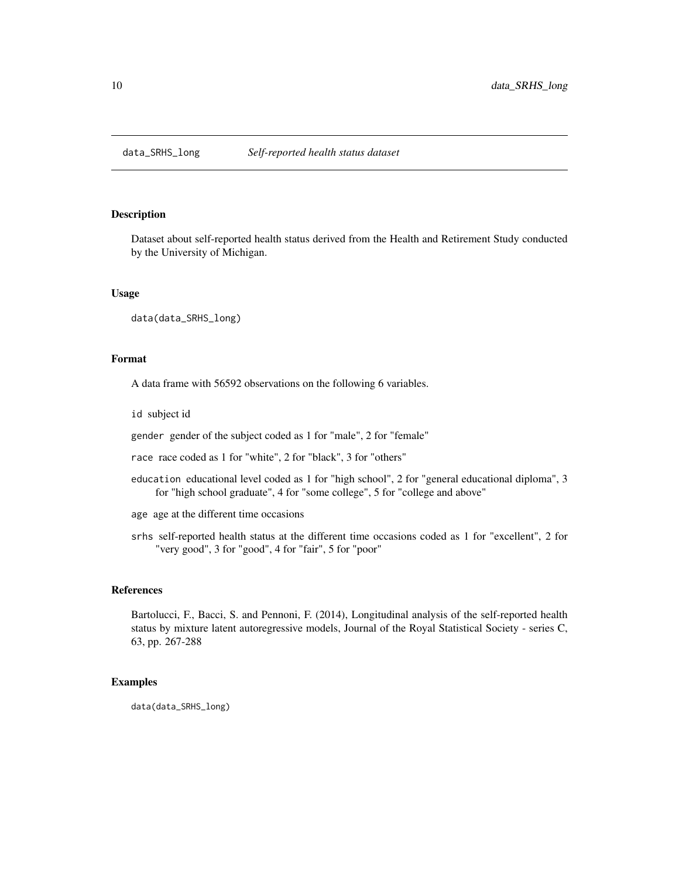<span id="page-9-0"></span>

Dataset about self-reported health status derived from the Health and Retirement Study conducted by the University of Michigan.

## Usage

data(data\_SRHS\_long)

## Format

A data frame with 56592 observations on the following 6 variables.

id subject id

gender gender of the subject coded as 1 for "male", 2 for "female"

race race coded as 1 for "white", 2 for "black", 3 for "others"

education educational level coded as 1 for "high school", 2 for "general educational diploma", 3 for "high school graduate", 4 for "some college", 5 for "college and above"

age age at the different time occasions

srhs self-reported health status at the different time occasions coded as 1 for "excellent", 2 for "very good", 3 for "good", 4 for "fair", 5 for "poor"

#### References

Bartolucci, F., Bacci, S. and Pennoni, F. (2014), Longitudinal analysis of the self-reported health status by mixture latent autoregressive models, Journal of the Royal Statistical Society - series C, 63, pp. 267-288

## Examples

data(data\_SRHS\_long)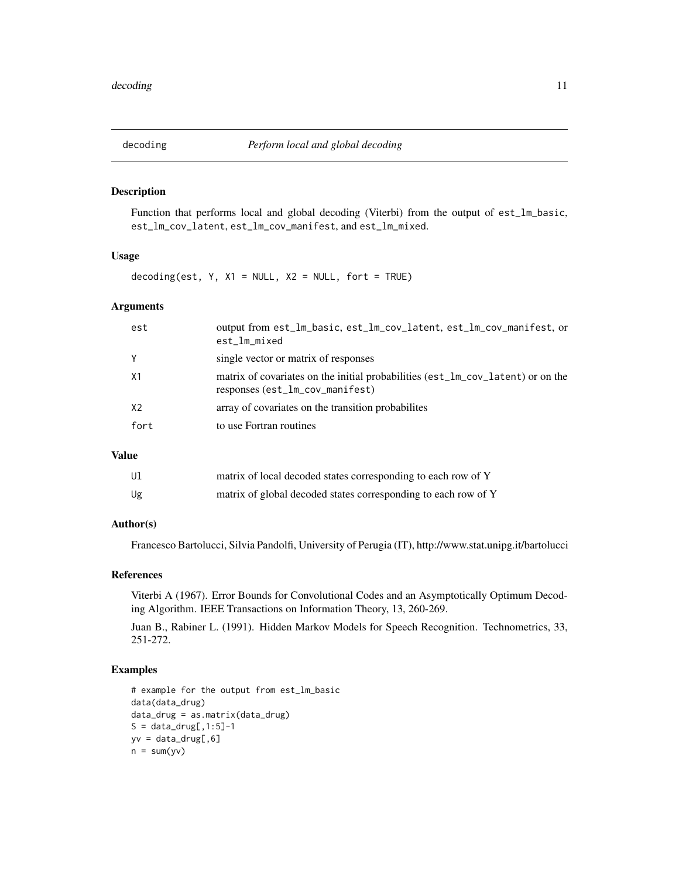<span id="page-10-0"></span>Function that performs local and global decoding (Viterbi) from the output of est\_lm\_basic, est\_lm\_cov\_latent, est\_lm\_cov\_manifest, and est\_lm\_mixed.

## Usage

decoding(est,  $Y$ ,  $X1 = NULL$ ,  $X2 = NULL$ , fort = TRUE)

#### Arguments

| est  | output from est_lm_basic, est_lm_cov_latent, est_lm_cov_manifest, or<br>est_lm_mixed                               |
|------|--------------------------------------------------------------------------------------------------------------------|
| Y    | single vector or matrix of responses                                                                               |
| X1   | matrix of covariates on the initial probabilities (est_lm_cov_latent) or on the<br>responses (est_lm_cov_manifest) |
| X2   | array of covariates on the transition probabilites                                                                 |
| fort | to use Fortran routines                                                                                            |
|      |                                                                                                                    |

## Value

| Ul | matrix of local decoded states corresponding to each row of Y  |
|----|----------------------------------------------------------------|
| Ug | matrix of global decoded states corresponding to each row of Y |

## Author(s)

Francesco Bartolucci, Silvia Pandolfi, University of Perugia (IT), http://www.stat.unipg.it/bartolucci

## References

Viterbi A (1967). Error Bounds for Convolutional Codes and an Asymptotically Optimum Decoding Algorithm. IEEE Transactions on Information Theory, 13, 260-269.

Juan B., Rabiner L. (1991). Hidden Markov Models for Speech Recognition. Technometrics, 33, 251-272.

## Examples

```
# example for the output from est_lm_basic
data(data_drug)
data_drug = as.matrix(data_drug)
S = data_drug[, 1:5]-1yv = data_drug[, 6]n = sum(yv)
```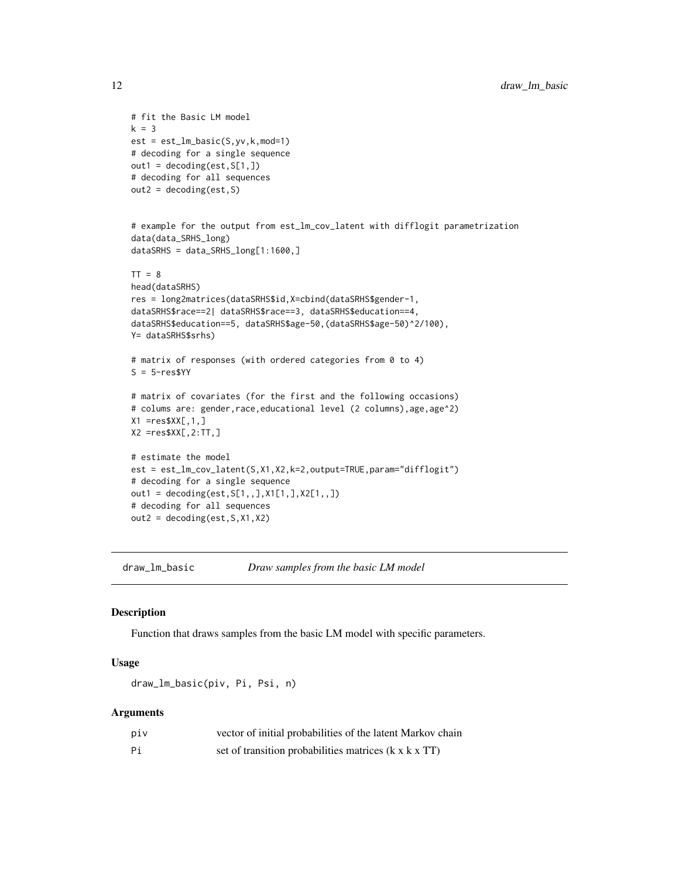```
# fit the Basic LM model
k = 3est = est_lm_basic(S,yv,k,mod=1)
# decoding for a single sequence
out1 = decoding(est, S[1,])# decoding for all sequences
out2 = decoding(est, S)# example for the output from est_lm_cov_latent with difflogit parametrization
data(data_SRHS_long)
dataSRHS = data_SRHS_long[1:1600,]
TT = 8head(dataSRHS)
res = long2matrices(dataSRHS$id,X=cbind(dataSRHS$gender-1,
dataSRHS$race==2| dataSRHS$race==3, dataSRHS$education==4,
dataSRHS$education==5, dataSRHS$age-50,(dataSRHS$age-50)^2/100),
Y= dataSRHS$srhs)
# matrix of responses (with ordered categories from 0 to 4)
S = 5-resSYY# matrix of covariates (for the first and the following occasions)
# colums are: gender, race, educational level (2 columns), age, age^2)
X1 = res$XX[, 1, ]X2 = res$XX[, 2:TT, ]# estimate the model
est = est_lm_cov_latent(S,X1,X2,k=2,output=TRUE,param="difflogit")
# decoding for a single sequence
out1 = decoding(est,S[1,,],X1[1,],X2[1,,])
# decoding for all sequences
out2 = decoding(est,S,X1,X2)
```

```
draw_lm_basic Draw samples from the basic LM model
```
Function that draws samples from the basic LM model with specific parameters.

## Usage

```
draw_lm_basic(piv, Pi, Psi, n)
```
## Arguments

| piv | vector of initial probabilities of the latent Markov chain        |
|-----|-------------------------------------------------------------------|
| Рi  | set of transition probabilities matrices $(k \times k \times TT)$ |

<span id="page-11-0"></span>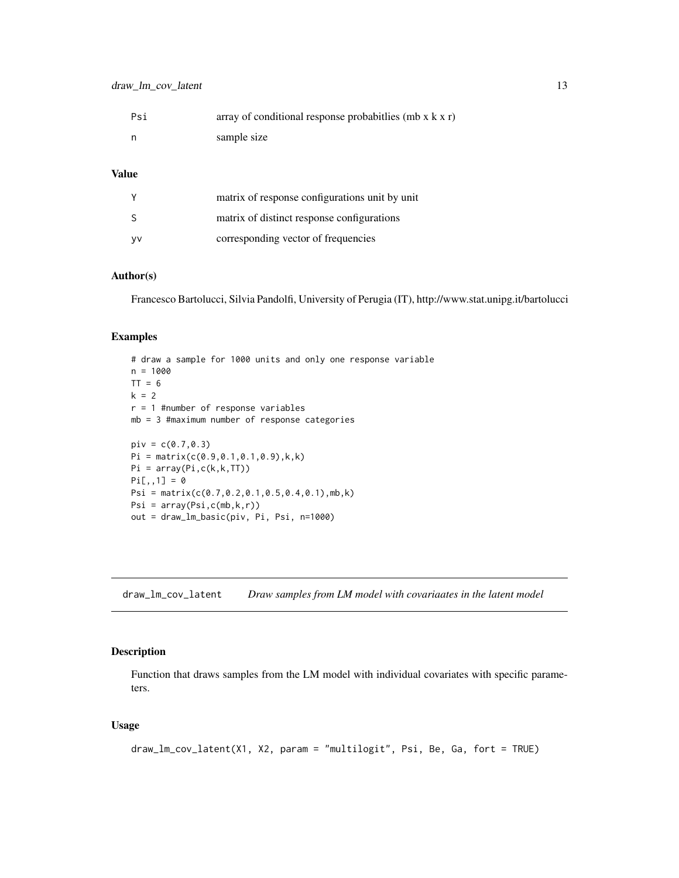<span id="page-12-0"></span>

| Psi | array of conditional response probabitlies (mb $x$ k $x$ r) |
|-----|-------------------------------------------------------------|
| - n | sample size                                                 |

## Value

|     | matrix of response configurations unit by unit |
|-----|------------------------------------------------|
|     | matrix of distinct response configurations     |
| VV. | corresponding vector of frequencies            |

## Author(s)

Francesco Bartolucci, Silvia Pandolfi, University of Perugia (IT), http://www.stat.unipg.it/bartolucci

## Examples

```
# draw a sample for 1000 units and only one response variable
n = 1000
TT = 6k = 2r = 1 #number of response variables
mb = 3 #maximum number of response categories
piv = c(0.7, 0.3)Pi = matrix(c(0.9, 0.1, 0.1, 0.9), k, k)Pi = array(Pi,c(k,k,TT))
Pi[,, 1] = 0Psi = matrix(c(0.7,0.2,0.1,0.5,0.4,0.1),mb,k)
Psi = array(Psi,c(mb,k,r))
out = draw_lm_basic(piv, Pi, Psi, n=1000)
```
draw\_lm\_cov\_latent *Draw samples from LM model with covariaates in the latent model*

## Description

Function that draws samples from the LM model with individual covariates with specific parameters.

## Usage

```
draw_lm_cov_latent(X1, X2, param = "multilogit", Psi, Be, Ga, fort = TRUE)
```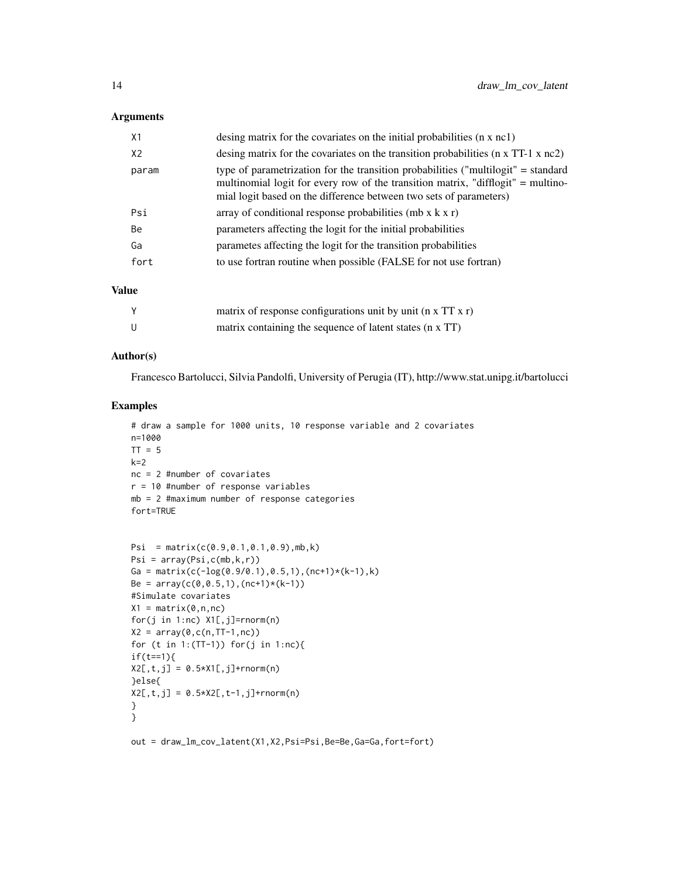#### Arguments

| X1             | desing matrix for the covariates on the initial probabilities (n x nc1)                                                                                                                                                                     |
|----------------|---------------------------------------------------------------------------------------------------------------------------------------------------------------------------------------------------------------------------------------------|
| X <sub>2</sub> | desing matrix for the covariates on the transition probabilities (n x TT-1 x nc2)                                                                                                                                                           |
| param          | type of parametrization for the transition probabilities ("multilogit" = standard<br>multinomial logit for every row of the transition matrix, "difflogit" = multino-<br>mial logit based on the difference between two sets of parameters) |
| Psi            | array of conditional response probabilities (mb $x$ k $x$ r)                                                                                                                                                                                |
| Be             | parameters affecting the logit for the initial probabilities                                                                                                                                                                                |
| Ga             | parametes affecting the logit for the transition probabilities                                                                                                                                                                              |
| fort           | to use fortran routine when possible (FALSE for not use fortran)                                                                                                                                                                            |

## Value

| matrix of response configurations unit by unit $(n \times TT \times r)$ |
|-------------------------------------------------------------------------|
| matrix containing the sequence of latent states (n x TT)                |

#### Author(s)

Francesco Bartolucci, Silvia Pandolfi, University of Perugia (IT), http://www.stat.unipg.it/bartolucci

## Examples

```
# draw a sample for 1000 units, 10 response variable and 2 covariates
n=1000
TT = 5k=2nc = 2 #number of covariates
r = 10 #number of response variables
mb = 2 #maximum number of response categories
fort=TRUE
```

```
Psi = matrix(c(0.9, 0.1, 0.1, 0.9), mb, k)Psi = array(Psi,c(mb,k,r))
Ga = matrix(c(-\log(0.9/0.1),0.5,1),(nc+1)*(k-1),k)
Be = array(c(0, 0.5, 1), (nc+1)*(k-1))#Simulate covariates
X1 = matrix(0, n, nc)for(j in 1:nc) X1[,j]=rnorm(n)
X2 = array(0, c(n, TT-1, nc))for (t in 1:(TT-1)) for(j in 1:nc){
if(t==1){
X2[, t, j] = 0.5*X1[, j] + \text{rnorm}(n)}else{
X2[, t, j] = 0.5*X2[, t-1, j]+rnorm(n)}
}
```
out = draw\_lm\_cov\_latent(X1,X2,Psi=Psi,Be=Be,Ga=Ga,fort=fort)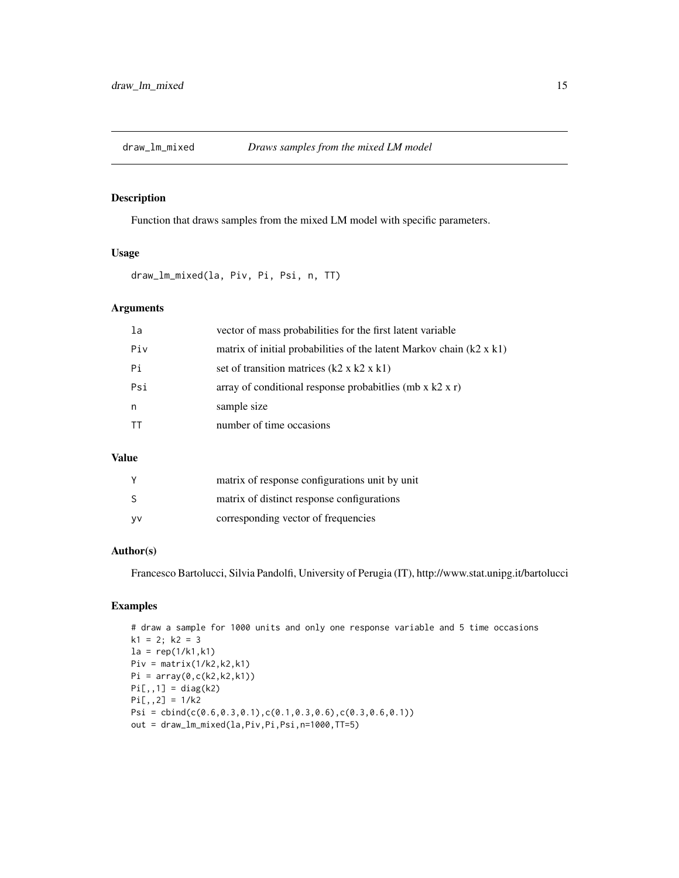<span id="page-14-0"></span>

Function that draws samples from the mixed LM model with specific parameters.

#### Usage

draw\_lm\_mixed(la, Piv, Pi, Psi, n, TT)

## Arguments

| la  | vector of mass probabilities for the first latent variable                  |
|-----|-----------------------------------------------------------------------------|
| Piv | matrix of initial probabilities of the latent Markov chain $(k2 \times k1)$ |
| Pi  | set of transition matrices $(k2 \times k2 \times k1)$                       |
| Psi | array of conditional response probabit lies (mb x $k2 x r$ )                |
| n   | sample size                                                                 |
|     | number of time occasions                                                    |

## Value

|     | matrix of response configurations unit by unit |
|-----|------------------------------------------------|
| -S  | matrix of distinct response configurations     |
| VV. | corresponding vector of frequencies            |

## Author(s)

Francesco Bartolucci, Silvia Pandolfi, University of Perugia (IT), http://www.stat.unipg.it/bartolucci

## Examples

```
# draw a sample for 1000 units and only one response variable and 5 time occasions
k1 = 2; k2 = 3la = rep(1/k1, k1)Piv = matrix(1/k2, k2, k1)Pi = array(0, c(k2, k2, k1))Pi[,,1] = diag(k2)Pi[,,2] = 1/k2
Psi = cbind(c(0.6,0.3,0.1),c(0.1,0.3,0.6),c(0.3,0.6,0.1))
out = draw_lm_mixed(la,Piv,Pi,Psi,n=1000,TT=5)
```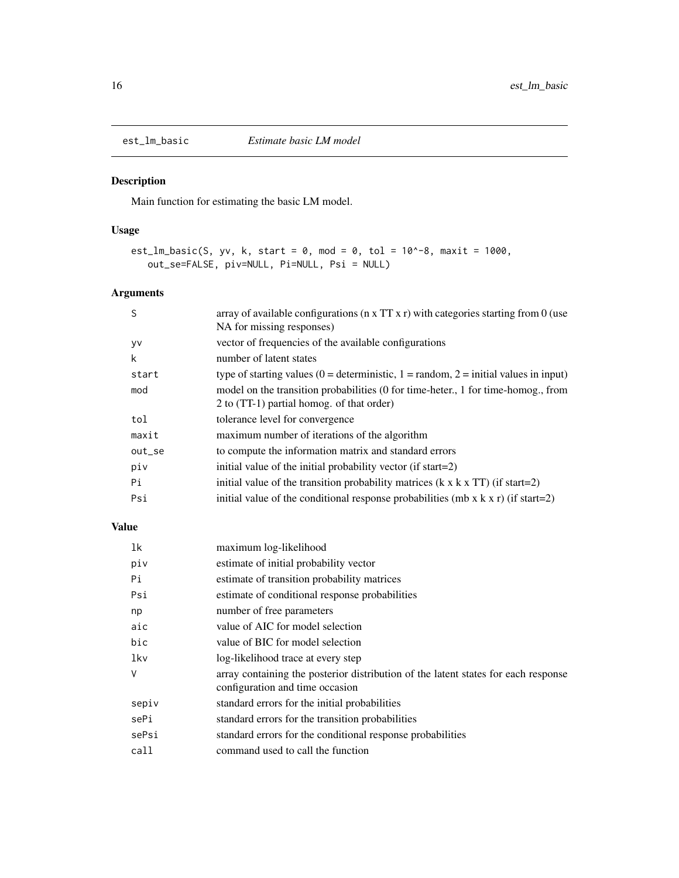Main function for estimating the basic LM model.

## Usage

```
est_lm_basic(S, yv, k, start = 0, mod = 0, tol = 10^{\circ}-8, maxit = 1000,
   out_se=FALSE, piv=NULL, Pi=NULL, Psi = NULL)
```
# Arguments

| S      | array of available configurations ( $n \times TT \times r$ ) with categories starting from 0 (use |
|--------|---------------------------------------------------------------------------------------------------|
|        | NA for missing responses)                                                                         |
| y٧     | vector of frequencies of the available configurations                                             |
| k      | number of latent states                                                                           |
| start  | type of starting values (0 = deterministic, 1 = random, 2 = initial values in input)              |
| mod    | model on the transition probabilities (0 for time-heter., 1 for time-homog., from                 |
|        | 2 to (TT-1) partial homog. of that order)                                                         |
| tol    | tolerance level for convergence                                                                   |
| maxit  | maximum number of iterations of the algorithm                                                     |
| out_se | to compute the information matrix and standard errors                                             |
| piv    | initial value of the initial probability vector (if start=2)                                      |
| Pi     | initial value of the transition probability matrices $(k \times k \times TT)$ (if start=2)        |
| Psi    | initial value of the conditional response probabilities (mb x $k \times r$ ) (if start=2)         |
|        |                                                                                                   |

## Value

| 1k    | maximum log-likelihood                                                                                                |
|-------|-----------------------------------------------------------------------------------------------------------------------|
| piv   | estimate of initial probability vector                                                                                |
| Pi    | estimate of transition probability matrices                                                                           |
| Psi   | estimate of conditional response probabilities                                                                        |
| np    | number of free parameters                                                                                             |
| aic   | value of AIC for model selection                                                                                      |
| bic   | value of BIC for model selection                                                                                      |
| lkv   | log-likelihood trace at every step                                                                                    |
| V     | array containing the posterior distribution of the latent states for each response<br>configuration and time occasion |
| sepiv | standard errors for the initial probabilities                                                                         |
| sePi  | standard errors for the transition probabilities                                                                      |
| sePsi | standard errors for the conditional response probabilities                                                            |
| call  | command used to call the function                                                                                     |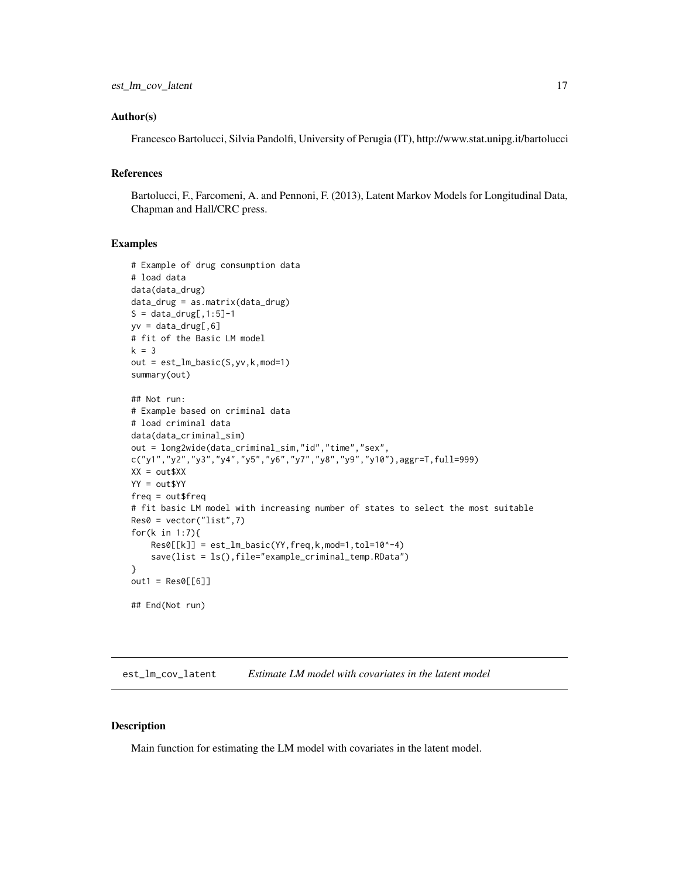#### <span id="page-16-0"></span>Author(s)

Francesco Bartolucci, Silvia Pandolfi, University of Perugia (IT), http://www.stat.unipg.it/bartolucci

## References

Bartolucci, F., Farcomeni, A. and Pennoni, F. (2013), Latent Markov Models for Longitudinal Data, Chapman and Hall/CRC press.

## Examples

```
# Example of drug consumption data
# load data
data(data_drug)
data_drug = as.matrix(data_drug)
S = data_drug[, 1:5]-1yv = data_drug[, 6]# fit of the Basic LM model
k = 3out = est_lm_basic(S,yv,k,mod=1)
summary(out)
## Not run:
# Example based on criminal data
# load criminal data
data(data_criminal_sim)
out = long2wide(data_criminal_sim,"id","time","sex",
c("y1","y2","y3","y4","y5","y6","y7","y8","y9","y10"),aggr=T,full=999)
XX = out5XXYY = out$YY
freq = out$freq
# fit basic LM model with increasing number of states to select the most suitable
Res0 = vector("list", 7)for(k in 1:7){
    Res0[[k]] = est_lm_basic(YY, freq, k, mod=1, tol=10^{\wedge}-4)save(list = ls(),file="example_criminal_temp.RData")
}
out1 = Res0[[6]]## End(Not run)
```
est\_lm\_cov\_latent *Estimate LM model with covariates in the latent model*

#### **Description**

Main function for estimating the LM model with covariates in the latent model.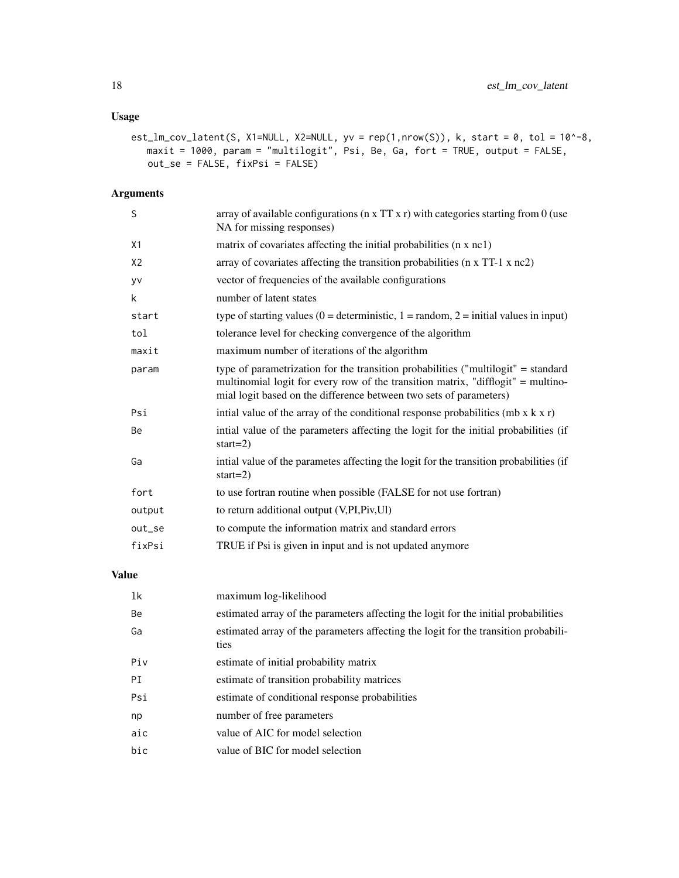# Usage

```
est_lm_cov_latent(S, X1=NULL, X2=NULL, yv = rep(1,nrow(S)), k, start = 0, tol = 10^{\circ}-8,
   maxit = 1000, param = "multilogit", Psi, Be, Ga, fort = TRUE, output = FALSE,
   out_se = FALSE, fixPsi = FALSE)
```
# Arguments

| S              | array of available configurations ( $n \times TT \times r$ ) with categories starting from 0 (use<br>NA for missing responses)                                                                                                              |
|----------------|---------------------------------------------------------------------------------------------------------------------------------------------------------------------------------------------------------------------------------------------|
| X1             | matrix of covariates affecting the initial probabilities (n x nc1)                                                                                                                                                                          |
| X <sub>2</sub> | array of covariates affecting the transition probabilities (n x TT-1 x nc2)                                                                                                                                                                 |
| yv             | vector of frequencies of the available configurations                                                                                                                                                                                       |
| k              | number of latent states                                                                                                                                                                                                                     |
| start          | type of starting values ( $0 =$ deterministic, $1 =$ random, $2 =$ initial values in input)                                                                                                                                                 |
| tol            | tolerance level for checking convergence of the algorithm                                                                                                                                                                                   |
| maxit          | maximum number of iterations of the algorithm                                                                                                                                                                                               |
| param          | type of parametrization for the transition probabilities ("multilogit" = standard<br>multinomial logit for every row of the transition matrix, "difflogit" = multino-<br>mial logit based on the difference between two sets of parameters) |
| Psi            | intial value of the array of the conditional response probabilities (mb $x k x r$ )                                                                                                                                                         |
| Be             | intial value of the parameters affecting the logit for the initial probabilities (if<br>start= $2)$                                                                                                                                         |
| Ga             | initial value of the parametes affecting the logit for the transition probabilities (if<br>start= $2)$                                                                                                                                      |
| fort           | to use fortran routine when possible (FALSE for not use fortran)                                                                                                                                                                            |
| output         | to return additional output (V, PI, Piv, UI)                                                                                                                                                                                                |
| out_se         | to compute the information matrix and standard errors                                                                                                                                                                                       |
| fixPsi         | TRUE if Psi is given in input and is not updated anymore                                                                                                                                                                                    |
|                |                                                                                                                                                                                                                                             |

## Value

| 1k  | maximum log-likelihood                                                                      |
|-----|---------------------------------------------------------------------------------------------|
| Be  | estimated array of the parameters affecting the logit for the initial probabilities         |
| Ga  | estimated array of the parameters affecting the logit for the transition probabili-<br>ties |
| Piv | estimate of initial probability matrix                                                      |
| PI  | estimate of transition probability matrices                                                 |
| Psi | estimate of conditional response probabilities                                              |
| np  | number of free parameters                                                                   |
| aic | value of AIC for model selection                                                            |
| bic | value of BIC for model selection                                                            |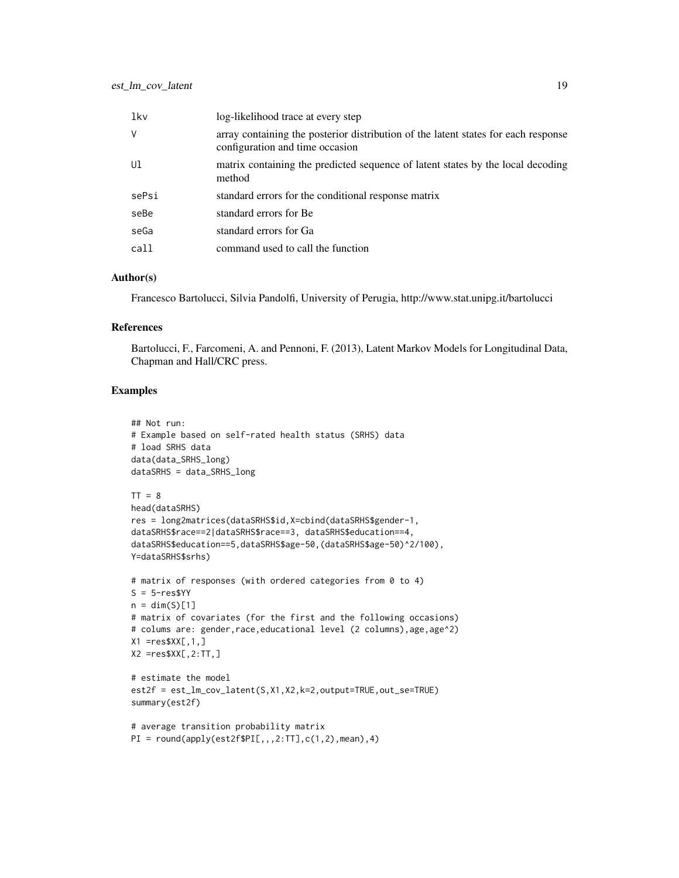| lkv   | log-likelihood trace at every step                                                                                    |
|-------|-----------------------------------------------------------------------------------------------------------------------|
| V     | array containing the posterior distribution of the latent states for each response<br>configuration and time occasion |
| Ul    | matrix containing the predicted sequence of latent states by the local decoding<br>method                             |
| sePsi | standard errors for the conditional response matrix                                                                   |
| seBe  | standard errors for Be                                                                                                |
| seGa  | standard errors for Ga                                                                                                |
| call  | command used to call the function                                                                                     |

#### Author(s)

Francesco Bartolucci, Silvia Pandolfi, University of Perugia, http://www.stat.unipg.it/bartolucci

#### References

Bartolucci, F., Farcomeni, A. and Pennoni, F. (2013), Latent Markov Models for Longitudinal Data, Chapman and Hall/CRC press.

# Examples

```
## Not run:
# Example based on self-rated health status (SRHS) data
# load SRHS data
data(data_SRHS_long)
dataSRHS = data_SRHS_long
TT = 8head(dataSRHS)
res = long2matrices(dataSRHS$id,X=cbind(dataSRHS$gender-1,
dataSRHS$race==2|dataSRHS$race==3, dataSRHS$education==4,
dataSRHS$education==5,dataSRHS$age-50,(dataSRHS$age-50)^2/100),
Y=dataSRHS$srhs)
# matrix of responses (with ordered categories from 0 to 4)
S = 5-res$YY
n = \dim(S)[1]# matrix of covariates (for the first and the following occasions)
# colums are: gender, race, educational level (2 columns), age, age^2)
X1 = res$XX[, 1, ]X2 =res$XX[,2:TT,]
# estimate the model
est2f = est_lm_cov_latent(S,X1,X2,k=2,output=TRUE,out_se=TRUE)
summary(est2f)
# average transition probability matrix
PI = round(apply(est2f$PI[,, 2:TT], c(1,2),mean), 4)
```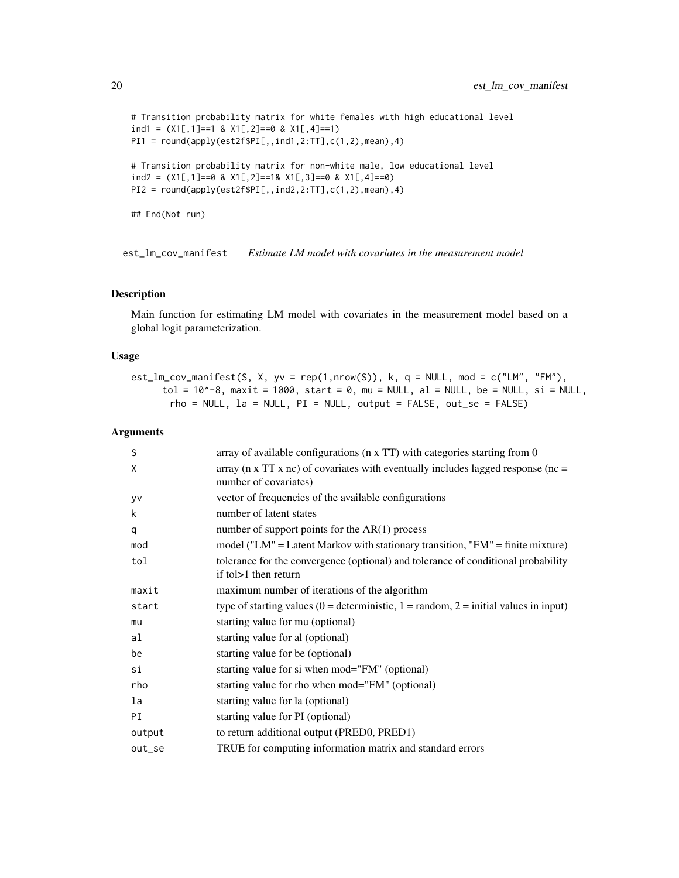```
# Transition probability matrix for white females with high educational level
ind1 = (X1[, 1]=1 8 X1[, 2]=0 8 X1[, 4]=1PI1 = round(aply(est2f$PI[,,ind1,2:TT],c(1,2),mean),4)# Transition probability matrix for non-white male, low educational level
ind2 = (X1[,1]==0 & X1[,2]==1& X1[,3]==0 & X1[,4]==0)
PI2 = round(apoly(est2f$PI[,, ind2,2:TT], c(1,2), mean), 4)
```
## End(Not run)

est\_lm\_cov\_manifest *Estimate LM model with covariates in the measurement model*

## Description

Main function for estimating LM model with covariates in the measurement model based on a global logit parameterization.

#### Usage

 $est\_lm\_cov\_manifest(S, X, yv = rep(1,nrow(S)), k, q = NULL, mod = c("LM", "FM"),$ tol =  $10^{\circ}$ -8, maxit =  $1000$ , start = 0, mu = NULL, al = NULL, be = NULL, si = NULL,  $rho = NULL$ ,  $la = NULL$ ,  $PI = NULL$ , output =  $FALSE$ , out\_se =  $FALSE$ )

#### Arguments

| S      | array of available configurations ( $n \times TT$ ) with categories starting from 0                                |
|--------|--------------------------------------------------------------------------------------------------------------------|
| X      | array ( $\pi$ x TT x nc) of covariates with eventually includes lagged response ( $\pi$ =<br>number of covariates) |
| yv     | vector of frequencies of the available configurations                                                              |
| k      | number of latent states                                                                                            |
| q      | number of support points for the $AR(1)$ process                                                                   |
| mod    | model ("LM" = Latent Markov with stationary transition, "FM" = finite mixture)                                     |
| tol    | tolerance for the convergence (optional) and tolerance of conditional probability<br>if to $>1$ then return        |
| maxit  | maximum number of iterations of the algorithm                                                                      |
| start  | type of starting values (0 = deterministic, 1 = random, 2 = initial values in input)                               |
| mu     | starting value for mu (optional)                                                                                   |
| al     | starting value for al (optional)                                                                                   |
| be     | starting value for be (optional)                                                                                   |
| si     | starting value for si when mod="FM" (optional)                                                                     |
| rho    | starting value for rho when mod="FM" (optional)                                                                    |
| la     | starting value for la (optional)                                                                                   |
| PI     | starting value for PI (optional)                                                                                   |
| output | to return additional output (PRED0, PRED1)                                                                         |
| out_se | TRUE for computing information matrix and standard errors                                                          |

<span id="page-19-0"></span>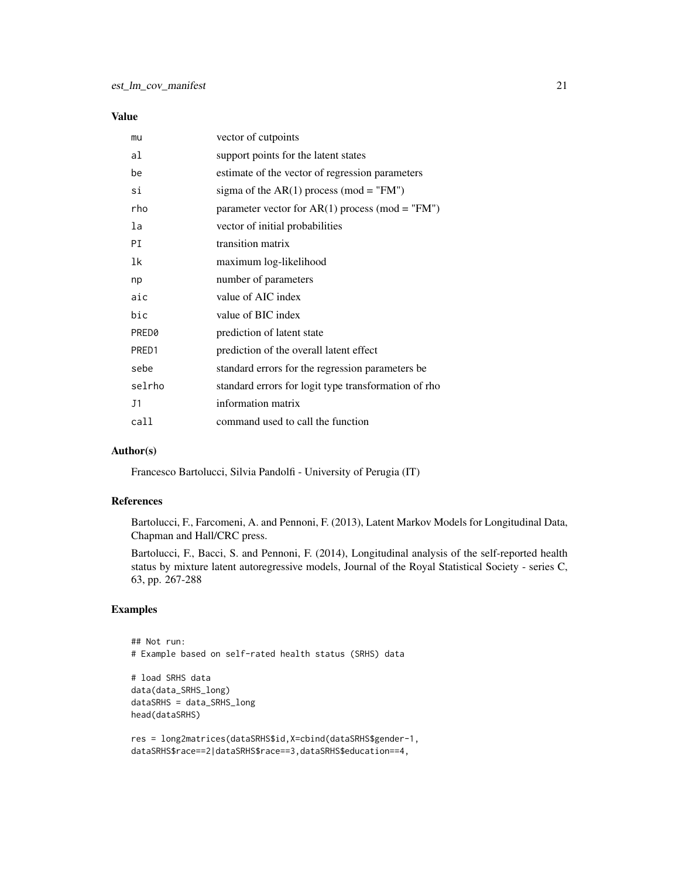## Value

| mu     | vector of cutpoints                                  |
|--------|------------------------------------------------------|
| al     | support points for the latent states                 |
| be     | estimate of the vector of regression parameters      |
| si     | sigma of the $AR(1)$ process (mod = "FM")            |
| rho    | parameter vector for $AR(1)$ process (mod = "FM")    |
| la     | vector of initial probabilities                      |
| PI     | transition matrix                                    |
| 1k     | maximum log-likelihood                               |
| np     | number of parameters                                 |
| aic    | value of AIC index                                   |
| bic    | value of BIC index                                   |
| PRED0  | prediction of latent state                           |
| PRED1  | prediction of the overall latent effect              |
| sebe   | standard errors for the regression parameters be     |
| selrho | standard errors for logit type transformation of rho |
| J1     | information matrix                                   |
| call   | command used to call the function                    |

## Author(s)

Francesco Bartolucci, Silvia Pandolfi - University of Perugia (IT)

## References

Bartolucci, F., Farcomeni, A. and Pennoni, F. (2013), Latent Markov Models for Longitudinal Data, Chapman and Hall/CRC press.

Bartolucci, F., Bacci, S. and Pennoni, F. (2014), Longitudinal analysis of the self-reported health status by mixture latent autoregressive models, Journal of the Royal Statistical Society - series C, 63, pp. 267-288

## Examples

```
## Not run:
# Example based on self-rated health status (SRHS) data
# load SRHS data
data(data_SRHS_long)
dataSRHS = data_SRHS_long
head(dataSRHS)
res = long2matrices(dataSRHS$id,X=cbind(dataSRHS$gender-1,
```

```
dataSRHS$race==2|dataSRHS$race==3,dataSRHS$education==4,
```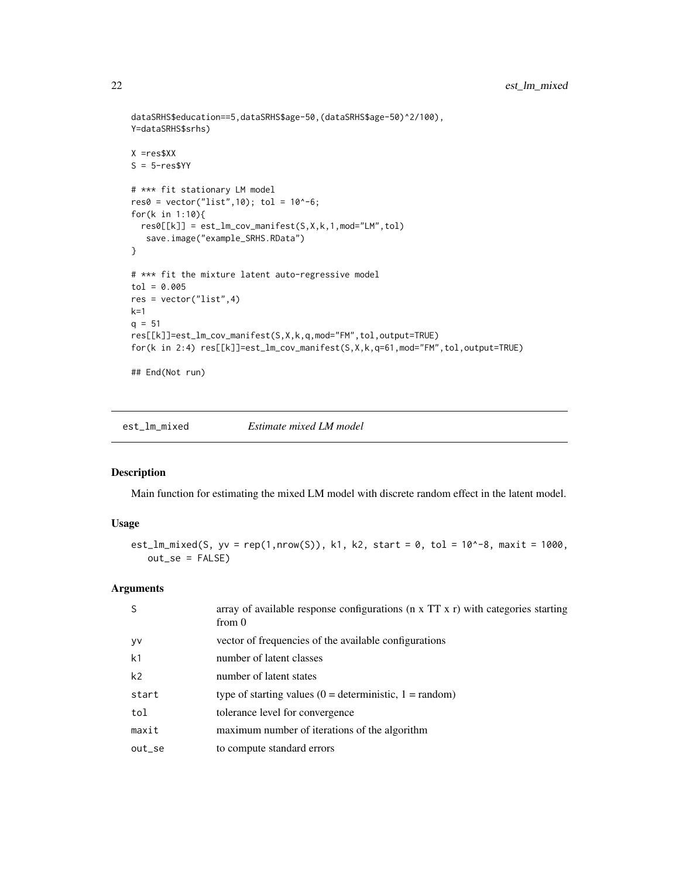```
dataSRHS$education==5,dataSRHS$age-50,(dataSRHS$age-50)^2/100),
Y=dataSRHS$srhs)
X =res$XX
S = 5-resSYY# *** fit stationary LM model
res0 = vector("list", 10); tol = 10^(-6);for(k in 1:10){
  res0[[k]] = est_lm_{cov\_manifest(S,X,k,1,mod="LM", tol)save.image("example_SRHS.RData")
}
# *** fit the mixture latent auto-regressive model
tol = 0.005res = vector("list",4)
k=1q = 51res[[k]]=est_lm_cov_manifest(S,X,k,q,mod="FM",tol,output=TRUE)
for(k in 2:4) res[[k]]=est_lm_cov_manifest(S,X,k,q=61,mod="FM",tol,output=TRUE)
## End(Not run)
```
est\_lm\_mixed *Estimate mixed LM model*

## Description

Main function for estimating the mixed LM model with discrete random effect in the latent model.

## Usage

```
est_lm_mixed(S, yv = rep(1,nrow(S)), k1, k2, start = 0, tol = 10^{\circ}-8, maxit = 1000,
   out_se = FALSE)
```
#### Arguments

| S         | array of available response configurations ( $n \times TT \times r$ ) with categories starting<br>from $\theta$ |
|-----------|-----------------------------------------------------------------------------------------------------------------|
| <b>yv</b> | vector of frequencies of the available configurations                                                           |
| k1        | number of latent classes                                                                                        |
| k2        | number of latent states                                                                                         |
| start     | type of starting values $(0 = \text{deterministic}, 1 = \text{random})$                                         |
| tol       | tolerance level for convergence                                                                                 |
| maxit     | maximum number of iterations of the algorithm                                                                   |
| out se    | to compute standard errors                                                                                      |
|           |                                                                                                                 |

<span id="page-21-0"></span>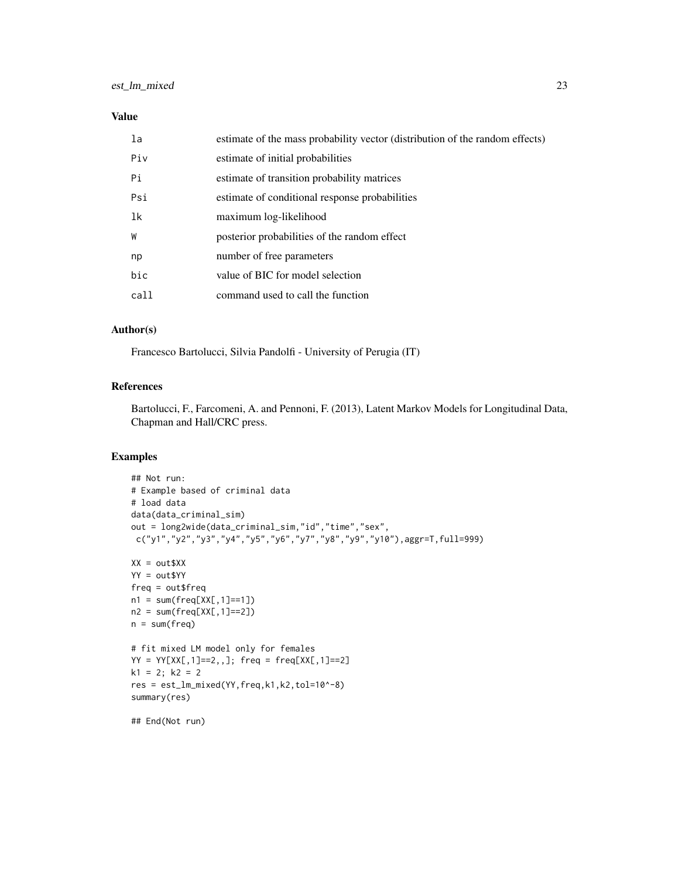#### Value

| la   | estimate of the mass probability vector (distribution of the random effects) |
|------|------------------------------------------------------------------------------|
| Piv  | estimate of initial probabilities                                            |
| Pi   | estimate of transition probability matrices                                  |
| Psi  | estimate of conditional response probabilities                               |
| 1k   | maximum log-likelihood                                                       |
| W    | posterior probabilities of the random effect                                 |
| np   | number of free parameters                                                    |
| bic  | value of BIC for model selection                                             |
| call | command used to call the function                                            |

## Author(s)

Francesco Bartolucci, Silvia Pandolfi - University of Perugia (IT)

## References

Bartolucci, F., Farcomeni, A. and Pennoni, F. (2013), Latent Markov Models for Longitudinal Data, Chapman and Hall/CRC press.

## Examples

```
## Not run:
# Example based of criminal data
# load data
data(data_criminal_sim)
out = long2wide(data_criminal_sim,"id","time","sex",
c("y1","y2","y3","y4","y5","y6","y7","y8","y9","y10"),aggr=T,full=999)
XX = out$XXYY = out$YY
freq = out$freq
n1 = sum(freq[XX[, 1] == 1])n2 = sum(freq[XX[, 1] == 2])n = sum(freq)# fit mixed LM model only for females
YY = YY[XX[, 1] == 2, ]; freq = freq[XX[,1]==2]
k1 = 2; k2 = 2res = est_lm_mixed(YY,freq,k1,k2,tol=10^-8)
summary(res)
## End(Not run)
```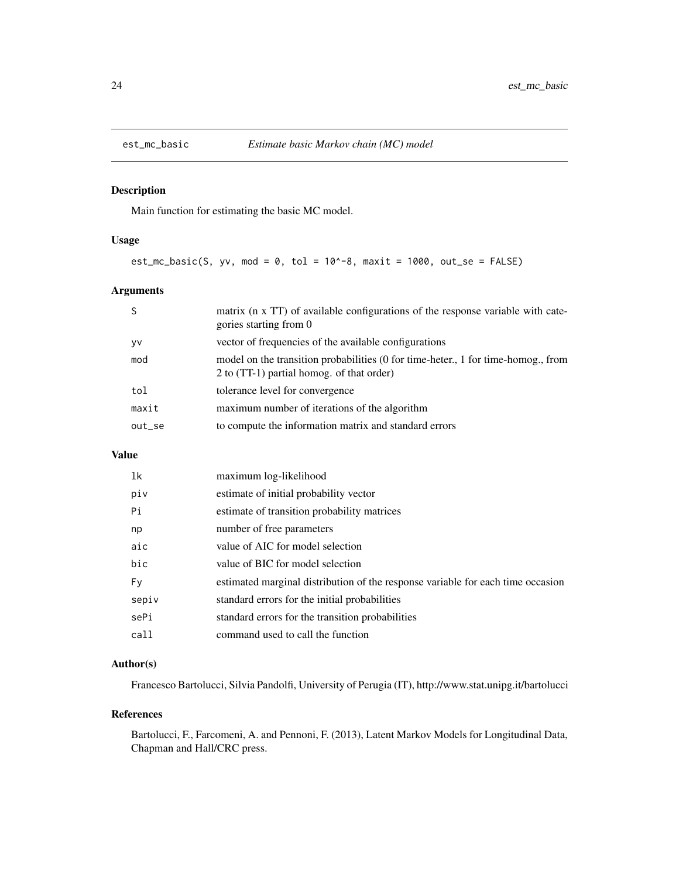<span id="page-23-0"></span>

Main function for estimating the basic MC model.

## Usage

 $est_mc_basic(S, yv, mod = 0, tol = 10^{\circ}-8, maxit = 1000, out_se = FALSE)$ 

## Arguments

|        | matrix (n x TT) of available configurations of the response variable with cate-<br>gories starting from 0                      |
|--------|--------------------------------------------------------------------------------------------------------------------------------|
| yv     | vector of frequencies of the available configurations                                                                          |
| mod    | model on the transition probabilities (0 for time-heter., 1 for time-homog., from<br>2 to (TT-1) partial homog. of that order) |
| tol    | tolerance level for convergence                                                                                                |
| maxit  | maximum number of iterations of the algorithm                                                                                  |
| out_se | to compute the information matrix and standard errors                                                                          |
|        |                                                                                                                                |

## Value

| 1k    | maximum log-likelihood                                                          |
|-------|---------------------------------------------------------------------------------|
| piv   | estimate of initial probability vector                                          |
| Pi    | estimate of transition probability matrices                                     |
| np    | number of free parameters                                                       |
| aic   | value of AIC for model selection                                                |
| bic   | value of BIC for model selection                                                |
| Fy.   | estimated marginal distribution of the response variable for each time occasion |
| sepiv | standard errors for the initial probabilities                                   |
| sePi  | standard errors for the transition probabilities                                |
| call  | command used to call the function                                               |

## Author(s)

Francesco Bartolucci, Silvia Pandolfi, University of Perugia (IT), http://www.stat.unipg.it/bartolucci

#### References

Bartolucci, F., Farcomeni, A. and Pennoni, F. (2013), Latent Markov Models for Longitudinal Data, Chapman and Hall/CRC press.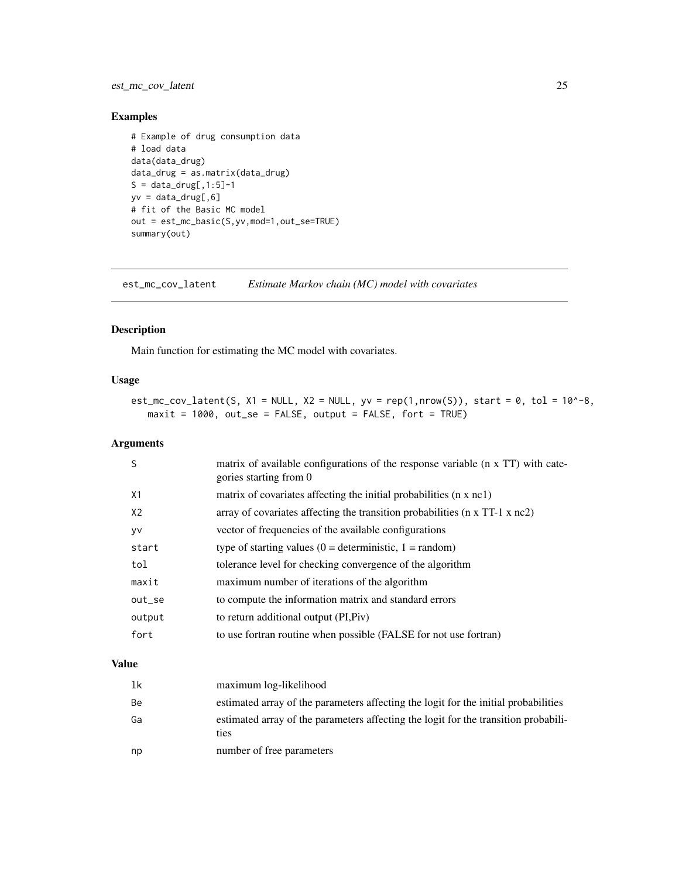## <span id="page-24-0"></span>est\_mc\_cov\_latent 25

## Examples

```
# Example of drug consumption data
# load data
data(data_drug)
data_drug = as.matrix(data_drug)
S = data_drug[, 1:5]-1yv = data_drug[,6]
# fit of the Basic MC model
out = est_mc_basic(S,yv,mod=1,out_se=TRUE)
summary(out)
```
est\_mc\_cov\_latent *Estimate Markov chain (MC) model with covariates*

## Description

Main function for estimating the MC model with covariates.

## Usage

```
est_mc_cov_latent(S, X1 = NULL, X2 = NULL, yv = rep(1,nrow(S)), start = 0, tol = 10^-8,
   maxit = 1000, out_se = FALSE, output = FALSE, fort = TRUE)
```
## Arguments

| S      | matrix of available configurations of the response variable (n x TT) with cate-<br>gories starting from 0 |
|--------|-----------------------------------------------------------------------------------------------------------|
| X1     | matrix of covariates affecting the initial probabilities (n x nc1)                                        |
| X2     | array of covariates affecting the transition probabilities ( $n \times TT-1 \times nc2$ )                 |
| y٧     | vector of frequencies of the available configurations                                                     |
| start  | type of starting values $(0 =$ deterministic, $1 =$ random)                                               |
| tol    | tolerance level for checking convergence of the algorithm                                                 |
| maxit  | maximum number of iterations of the algorithm                                                             |
| out_se | to compute the information matrix and standard errors                                                     |
| output | to return additional output (PI, Piv)                                                                     |
| fort   | to use fortran routine when possible (FALSE for not use fortran)                                          |
|        |                                                                                                           |

## Value

| 1k | maximum log-likelihood                                                                      |
|----|---------------------------------------------------------------------------------------------|
| Be | estimated array of the parameters affecting the logit for the initial probabilities         |
| Ga | estimated array of the parameters affecting the logit for the transition probabili-<br>ties |
| np | number of free parameters                                                                   |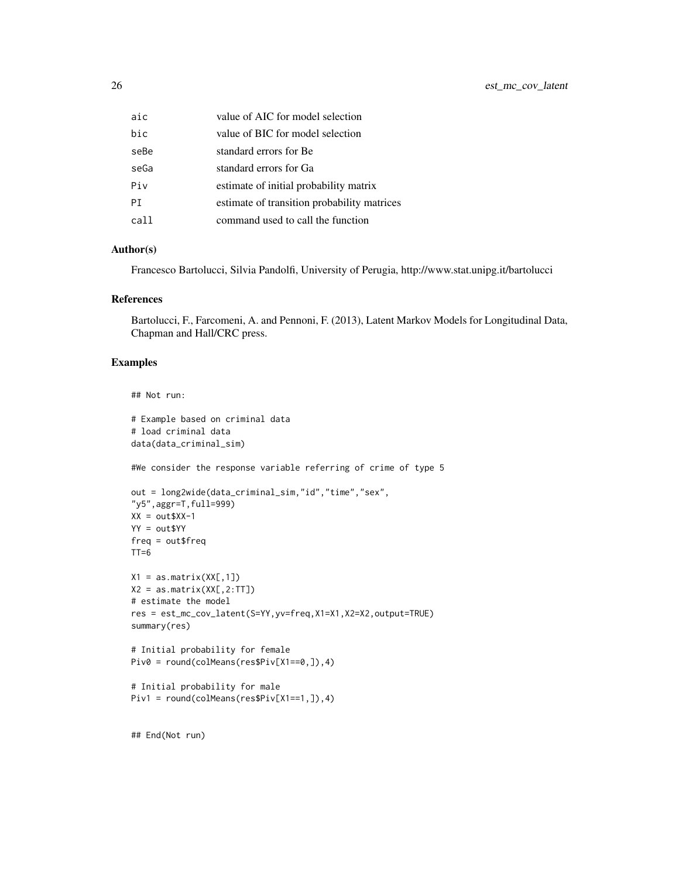| aic  | value of AIC for model selection            |
|------|---------------------------------------------|
| hic  | value of BIC for model selection            |
| seBe | standard errors for Be                      |
| seGa | standard errors for Ga                      |
| Piv  | estimate of initial probability matrix      |
| РT   | estimate of transition probability matrices |
| call | command used to call the function           |
|      |                                             |

## Author(s)

Francesco Bartolucci, Silvia Pandolfi, University of Perugia, http://www.stat.unipg.it/bartolucci

## References

Bartolucci, F., Farcomeni, A. and Pennoni, F. (2013), Latent Markov Models for Longitudinal Data, Chapman and Hall/CRC press.

#### Examples

```
## Not run:
```

```
# Example based on criminal data
# load criminal data
data(data_criminal_sim)
#We consider the response variable referring of crime of type 5
out = long2wide(data_criminal_sim,"id","time","sex",
"y5",aggr=T,full=999)
XX = out$XX-1YY = out$YY
freq = out$freq
TT=6X1 = as_matrix(XX[, 1])X2 = as_matrix(XX[, 2:TT])# estimate the model
res = est_mc_cov_latent(S=YY,yv=freq,X1=X1,X2=X2,output=TRUE)
summary(res)
# Initial probability for female
Piv0 = round(colMeans(res$Piv[X1==0,]),4)
# Initial probability for male
Piv1 = round(colMeans(res$Piv[X1==1,]),4)
```
## End(Not run)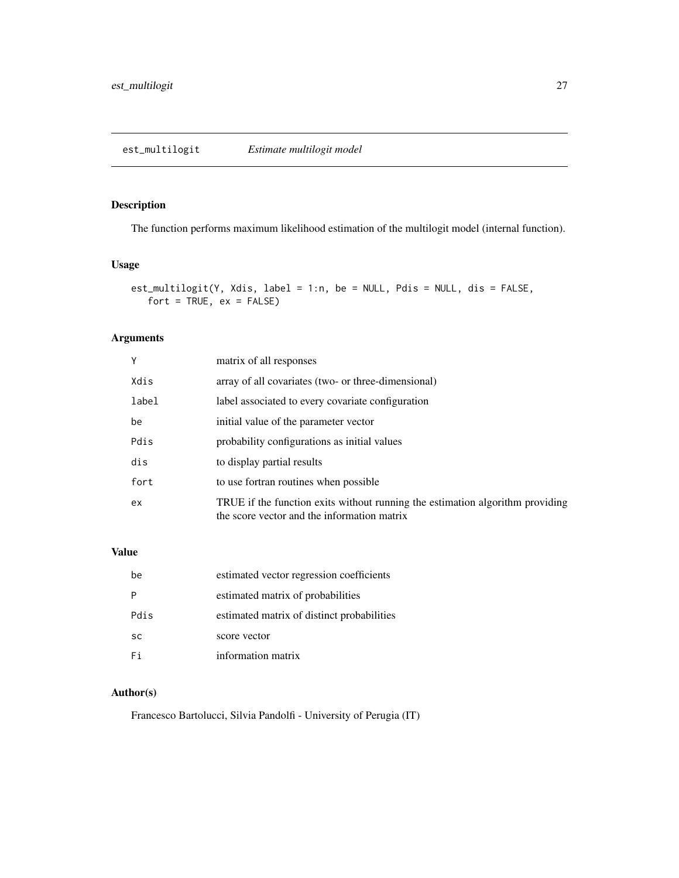<span id="page-26-0"></span>The function performs maximum likelihood estimation of the multilogit model (internal function).

## Usage

```
est_multilogit(Y, Xdis, label = 1:n, be = NULL, Pdis = NULL, dis = FALSE,
   fort = TRUE, ex = FALSE)
```
## Arguments

| Y     | matrix of all responses                                                                                                      |
|-------|------------------------------------------------------------------------------------------------------------------------------|
| Xdis  | array of all covariates (two- or three-dimensional)                                                                          |
| label | label associated to every covariate configuration                                                                            |
| be    | initial value of the parameter vector                                                                                        |
| Pdis  | probability configurations as initial values                                                                                 |
| dis   | to display partial results                                                                                                   |
| fort  | to use fortran routines when possible                                                                                        |
| ex    | TRUE if the function exits without running the estimation algorithm providing<br>the score vector and the information matrix |

# Value

| be        | estimated vector regression coefficients   |
|-----------|--------------------------------------------|
|           | estimated matrix of probabilities          |
| Pdis      | estimated matrix of distinct probabilities |
| <b>SC</b> | score vector                               |
| Fi        | information matrix                         |

## Author(s)

Francesco Bartolucci, Silvia Pandolfi - University of Perugia (IT)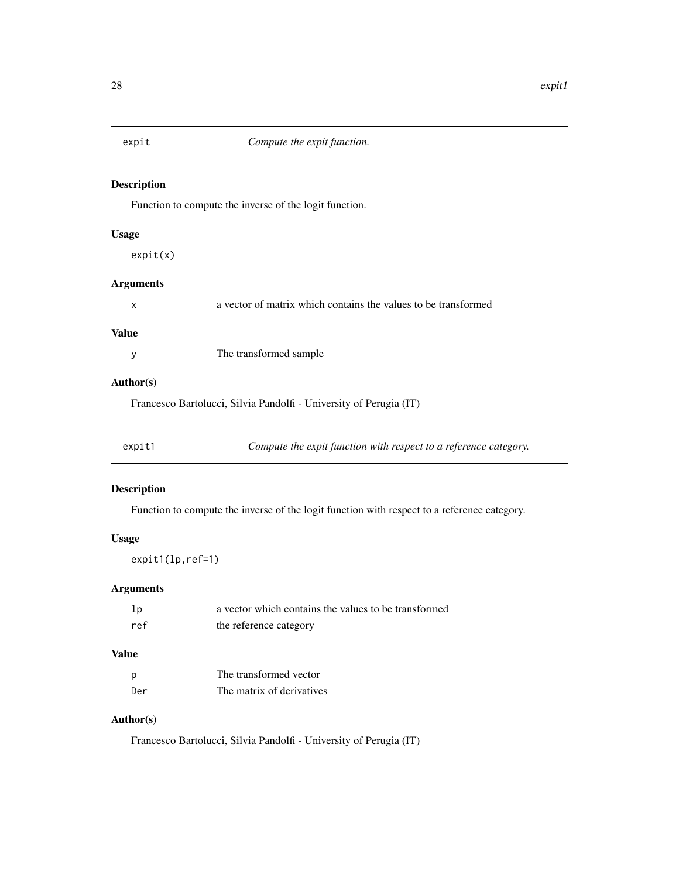<span id="page-27-0"></span>

Function to compute the inverse of the logit function.

## Usage

expit(x)

# Arguments

|  |  |  |  | a vector of matrix which contains the values to be transformed |
|--|--|--|--|----------------------------------------------------------------|
|  |  |  |  |                                                                |

## Value

y The transformed sample

## Author(s)

Francesco Bartolucci, Silvia Pandolfi - University of Perugia (IT)

| expit1 | Compute the expit function with respect to a reference category. |  |
|--------|------------------------------------------------------------------|--|
|--------|------------------------------------------------------------------|--|

## Description

Function to compute the inverse of the logit function with respect to a reference category.

## Usage

expit1(lp,ref=1)

## Arguments

| 1p  | a vector which contains the values to be transformed |
|-----|------------------------------------------------------|
| ref | the reference category                               |

# Value

| p   | The transformed vector    |
|-----|---------------------------|
| Der | The matrix of derivatives |

# Author(s)

Francesco Bartolucci, Silvia Pandolfi - University of Perugia (IT)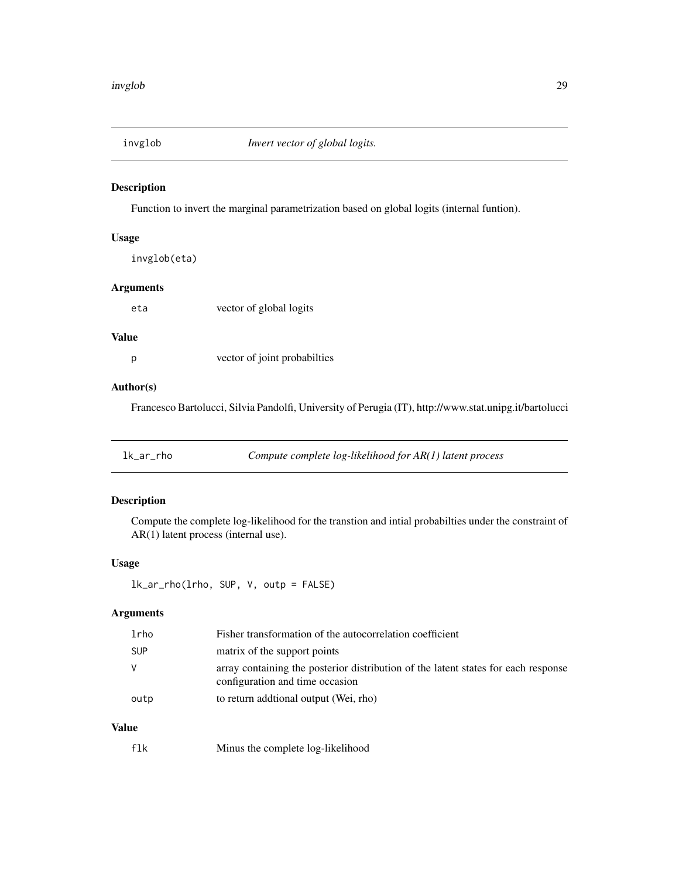<span id="page-28-0"></span>

Function to invert the marginal parametrization based on global logits (internal funtion).

## Usage

invglob(eta)

## Arguments

eta vector of global logits

## Value

p vector of joint probabilties

## Author(s)

Francesco Bartolucci, Silvia Pandolfi, University of Perugia (IT), http://www.stat.unipg.it/bartolucci

| lk_ar_rho | Compute complete $log$ -likelihood for $AR(1)$ latent process |
|-----------|---------------------------------------------------------------|
|           |                                                               |

## Description

Compute the complete log-likelihood for the transtion and intial probabilties under the constraint of AR(1) latent process (internal use).

## Usage

lk\_ar\_rho(lrho, SUP, V, outp = FALSE)

# Arguments

| lrho       | Fisher transformation of the autocorrelation coefficient                                                              |
|------------|-----------------------------------------------------------------------------------------------------------------------|
| <b>SUP</b> | matrix of the support points                                                                                          |
| - V        | array containing the posterior distribution of the latent states for each response<br>configuration and time occasion |
| outp       | to return additional output (Wei, rho)                                                                                |

# Value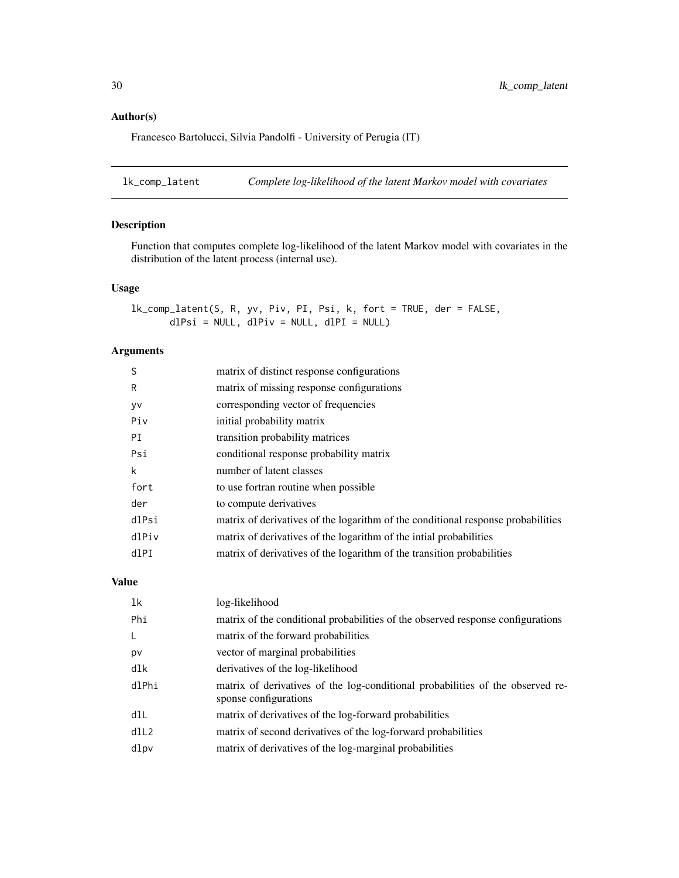## <span id="page-29-0"></span>Author(s)

Francesco Bartolucci, Silvia Pandolfi - University of Perugia (IT)

lk\_comp\_latent *Complete log-likelihood of the latent Markov model with covariates*

## Description

Function that computes complete log-likelihood of the latent Markov model with covariates in the distribution of the latent process (internal use).

## Usage

lk\_comp\_latent(S, R, yv, Piv, PI, Psi, k, fort = TRUE, der = FALSE, dlPsi = NULL, dlPiv = NULL, dlPI = NULL)

## Arguments

| S     | matrix of distinct response configurations                                       |
|-------|----------------------------------------------------------------------------------|
| R     | matrix of missing response configurations                                        |
| yv    | corresponding vector of frequencies                                              |
| Piv   | initial probability matrix                                                       |
| PI    | transition probability matrices                                                  |
| Psi   | conditional response probability matrix                                          |
| k     | number of latent classes                                                         |
| fort  | to use fortran routine when possible                                             |
| der   | to compute derivatives                                                           |
| dlPsi | matrix of derivatives of the logarithm of the conditional response probabilities |
| dlPiv | matrix of derivatives of the logarithm of the initial probabilities              |
| dlPI  | matrix of derivatives of the logarithm of the transition probabilities           |

#### Value

| 1k           | log-likelihood                                                                                          |
|--------------|---------------------------------------------------------------------------------------------------------|
| Phi          | matrix of the conditional probabilities of the observed response configurations                         |
| $\mathsf{L}$ | matrix of the forward probabilities                                                                     |
| pv           | vector of marginal probabilities                                                                        |
| dlk          | derivatives of the log-likelihood                                                                       |
| dlPhi        | matrix of derivatives of the log-conditional probabilities of the observed re-<br>sponse configurations |
| dlL          | matrix of derivatives of the log-forward probabilities                                                  |
| dll2         | matrix of second derivatives of the log-forward probabilities                                           |
| dlpv         | matrix of derivatives of the log-marginal probabilities                                                 |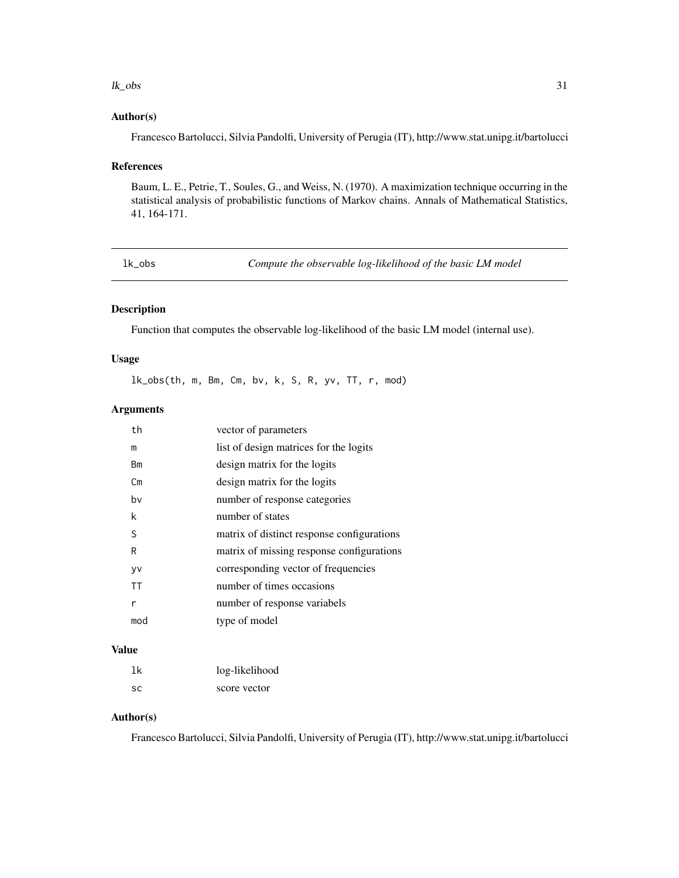#### <span id="page-30-0"></span> $lk\_obs$  31

#### Author(s)

Francesco Bartolucci, Silvia Pandolfi, University of Perugia (IT), http://www.stat.unipg.it/bartolucci

#### References

Baum, L. E., Petrie, T., Soules, G., and Weiss, N. (1970). A maximization technique occurring in the statistical analysis of probabilistic functions of Markov chains. Annals of Mathematical Statistics, 41, 164-171.

lk\_obs *Compute the observable log-likelihood of the basic LM model*

#### Description

Function that computes the observable log-likelihood of the basic LM model (internal use).

## Usage

lk\_obs(th, m, Bm, Cm, bv, k, S, R, yv, TT, r, mod)

## Arguments

| th        | vector of parameters                       |
|-----------|--------------------------------------------|
| m         | list of design matrices for the logits     |
| Вm        | design matrix for the logits               |
| Сm        | design matrix for the logits               |
| bv        | number of response categories              |
| k         | number of states                           |
| S         | matrix of distinct response configurations |
| R         | matrix of missing response configurations  |
| yv        | corresponding vector of frequencies        |
| <b>TT</b> | number of times occasions                  |
| r         | number of response variabels               |
| mod       | type of model                              |
|           |                                            |

## Value

| 1k  | log-likelihood |
|-----|----------------|
| SC. | score vector   |

#### Author(s)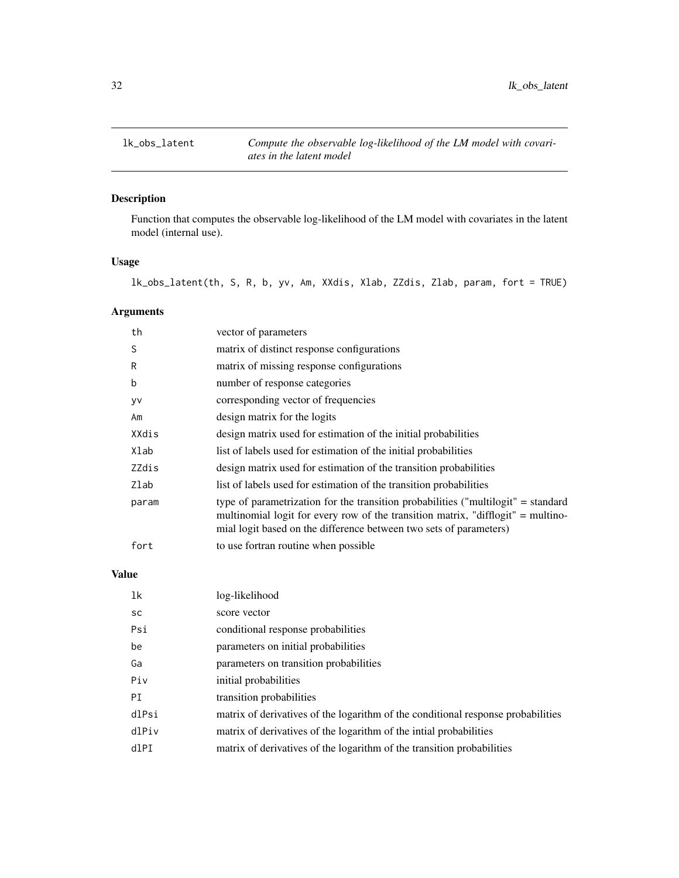<span id="page-31-0"></span>

Function that computes the observable log-likelihood of the LM model with covariates in the latent model (internal use).

## Usage

lk\_obs\_latent(th, S, R, b, yv, Am, XXdis, Xlab, ZZdis, Zlab, param, fort = TRUE)

# Arguments

| th    | vector of parameters                                                                                                                                                                                                                        |
|-------|---------------------------------------------------------------------------------------------------------------------------------------------------------------------------------------------------------------------------------------------|
| S     | matrix of distinct response configurations                                                                                                                                                                                                  |
| R     | matrix of missing response configurations                                                                                                                                                                                                   |
| b     | number of response categories                                                                                                                                                                                                               |
| yv    | corresponding vector of frequencies                                                                                                                                                                                                         |
| Am    | design matrix for the logits                                                                                                                                                                                                                |
| XXdis | design matrix used for estimation of the initial probabilities                                                                                                                                                                              |
| Xlab  | list of labels used for estimation of the initial probabilities                                                                                                                                                                             |
| ZZdis | design matrix used for estimation of the transition probabilities                                                                                                                                                                           |
| Zlab  | list of labels used for estimation of the transition probabilities                                                                                                                                                                          |
| param | type of parametrization for the transition probabilities ("multilogit" = standard<br>multinomial logit for every row of the transition matrix, "difflogit" = multino-<br>mial logit based on the difference between two sets of parameters) |
| fort  | to use fortran routine when possible                                                                                                                                                                                                        |

# Value

| lk        | log-likelihood                                                                   |
|-----------|----------------------------------------------------------------------------------|
| <b>SC</b> | score vector                                                                     |
| Psi       | conditional response probabilities                                               |
| be        | parameters on initial probabilities                                              |
| Ga        | parameters on transition probabilities                                           |
| Piv       | initial probabilities                                                            |
| PI        | transition probabilities                                                         |
| dlPsi     | matrix of derivatives of the logarithm of the conditional response probabilities |
| dlPiv     | matrix of derivatives of the logarithm of the intial probabilities               |
| dlPI      | matrix of derivatives of the logarithm of the transition probabilities           |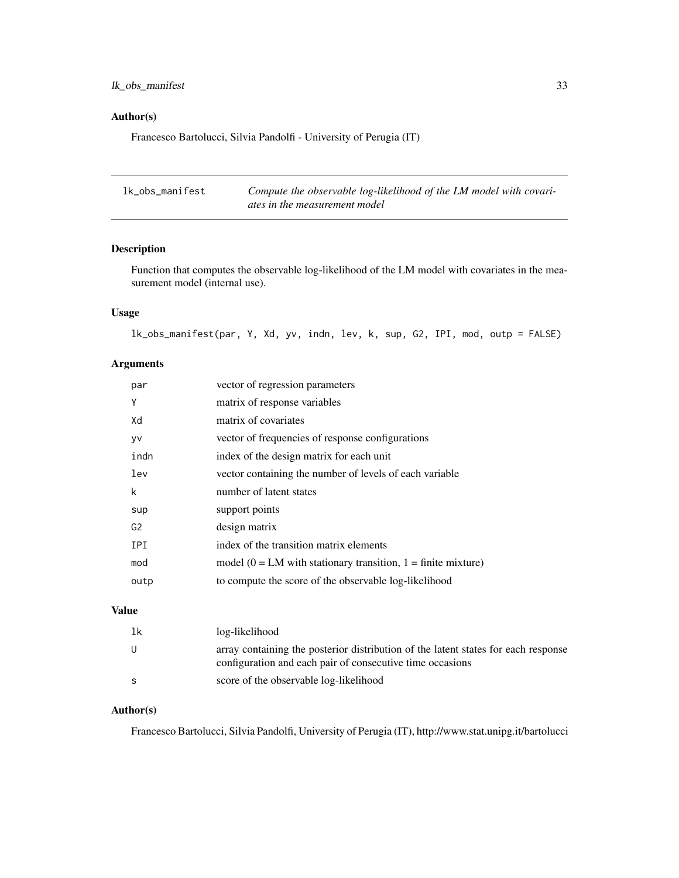## <span id="page-32-0"></span>lk\_obs\_manifest 33

## Author(s)

Francesco Bartolucci, Silvia Pandolfi - University of Perugia (IT)

| lk_obs_manifest | Compute the observable log-likelihood of the LM model with covari- |
|-----------------|--------------------------------------------------------------------|
|                 | ates in the measurement model                                      |

## Description

Function that computes the observable log-likelihood of the LM model with covariates in the measurement model (internal use).

## Usage

lk\_obs\_manifest(par, Y, Xd, yv, indn, lev, k, sup, G2, IPI, mod, outp = FALSE)

## Arguments

| par            | vector of regression parameters                                    |
|----------------|--------------------------------------------------------------------|
| Υ              | matrix of response variables                                       |
| Xd             | matrix of covariates                                               |
| y٧             | vector of frequencies of response configurations                   |
| indn           | index of the design matrix for each unit                           |
| lev            | vector containing the number of levels of each variable            |
| k              | number of latent states                                            |
| sup            | support points                                                     |
| G <sub>2</sub> | design matrix                                                      |
| IPI            | index of the transition matrix elements                            |
| mod            | model ( $0 = LM$ with stationary transition, $1 =$ finite mixture) |
| outp           | to compute the score of the observable log-likelihood              |

## Value

| lk  | log-likelihood                                                                                                                                  |
|-----|-------------------------------------------------------------------------------------------------------------------------------------------------|
| - U | array containing the posterior distribution of the latent states for each response<br>configuration and each pair of consecutive time occasions |
|     | score of the observable log-likelihood                                                                                                          |

## Author(s)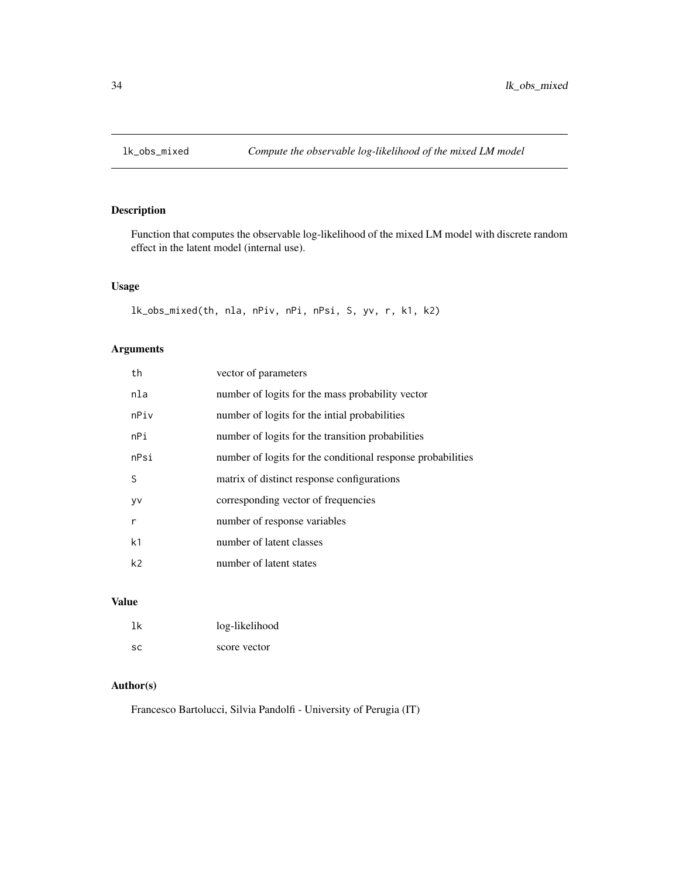<span id="page-33-0"></span>

Function that computes the observable log-likelihood of the mixed LM model with discrete random effect in the latent model (internal use).

## Usage

```
lk_obs_mixed(th, nla, nPiv, nPi, nPsi, S, yv, r, k1, k2)
```
# Arguments

| th             | vector of parameters                                        |
|----------------|-------------------------------------------------------------|
| nla            | number of logits for the mass probability vector            |
| nPiv           | number of logits for the inital probabilities               |
| nPi            | number of logits for the transition probabilities           |
| nPsi           | number of logits for the conditional response probabilities |
| S              | matrix of distinct response configurations                  |
| <b>VV</b>      | corresponding vector of frequencies                         |
| r              | number of response variables                                |
| k <sub>1</sub> | number of latent classes                                    |
| k <sub>2</sub> | number of latent states                                     |

#### Value

| 1k        | log-likelihood |
|-----------|----------------|
| <b>SC</b> | score vector   |

## Author(s)

Francesco Bartolucci, Silvia Pandolfi - University of Perugia (IT)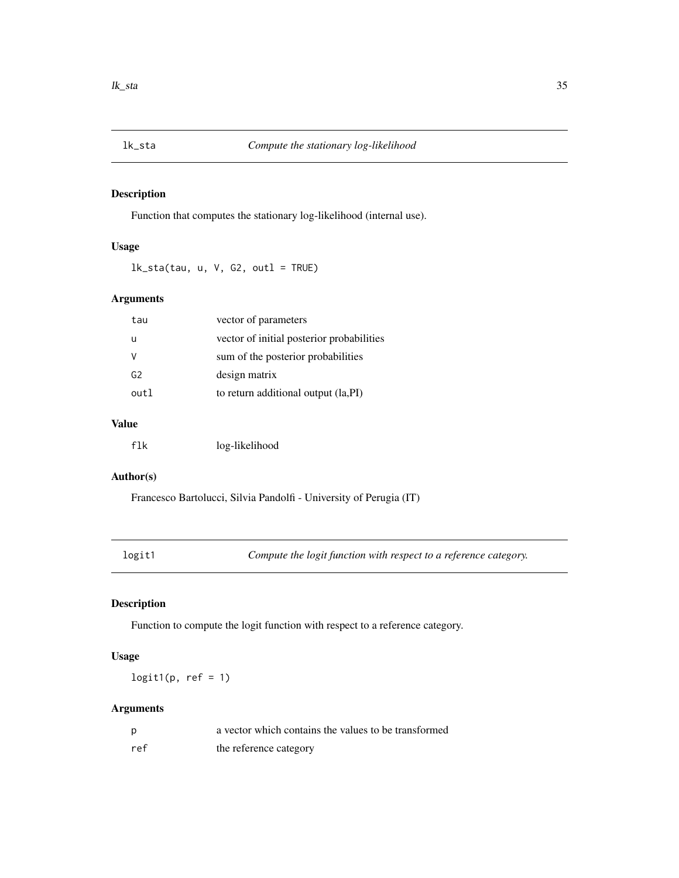<span id="page-34-0"></span>

Function that computes the stationary log-likelihood (internal use).

## Usage

 $lk\_sta(tau, u, V, G2, outl = TRUE)$ 

# Arguments

| tau            | vector of parameters                      |
|----------------|-------------------------------------------|
| u              | vector of initial posterior probabilities |
| v              | sum of the posterior probabilities        |
| G <sub>2</sub> | design matrix                             |
| out 1          | to return additional output (la, PI)      |
|                |                                           |

## Value

| flk | log-likelihood |
|-----|----------------|
|-----|----------------|

# Author(s)

Francesco Bartolucci, Silvia Pandolfi - University of Perugia (IT)

logit1 *Compute the logit function with respect to a reference category.*

# Description

Function to compute the logit function with respect to a reference category.

## Usage

 $logit1(p, ref = 1)$ 

# Arguments

| p   | a vector which contains the values to be transformed |
|-----|------------------------------------------------------|
| ref | the reference category                               |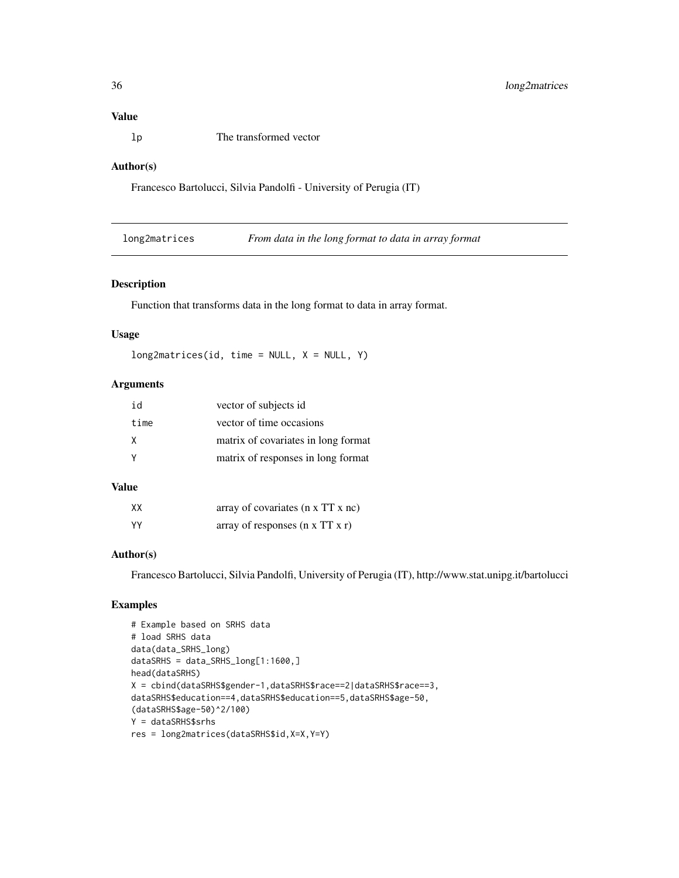## <span id="page-35-0"></span>Value

lp The transformed vector

#### Author(s)

Francesco Bartolucci, Silvia Pandolfi - University of Perugia (IT)

long2matrices *From data in the long format to data in array format*

#### Description

Function that transforms data in the long format to data in array format.

#### Usage

 $long2matrices(id, time = NULL, X = NULL, Y)$ 

## Arguments

| id   | vector of subjects id               |
|------|-------------------------------------|
| time | vector of time occasions            |
| X    | matrix of covariates in long format |
|      | matrix of responses in long format  |

## Value

| XX  | array of covariates $(n \times TT \times nc)$ |
|-----|-----------------------------------------------|
| YY. | array of responses $(n \times TT \times r)$   |

## Author(s)

Francesco Bartolucci, Silvia Pandolfi, University of Perugia (IT), http://www.stat.unipg.it/bartolucci

## Examples

```
# Example based on SRHS data
# load SRHS data
data(data_SRHS_long)
dataSRHS = data_SRHS_long[1:1600,]
head(dataSRHS)
X = cbind(dataSRHS$gender-1,dataSRHS$race==2|dataSRHS$race==3,
dataSRHS$education==4,dataSRHS$education==5,dataSRHS$age-50,
(dataSRHS$age-50)^2/100)
Y = dataSRHS$srhs
res = long2matrices(dataSRHS$id,X=X,Y=Y)
```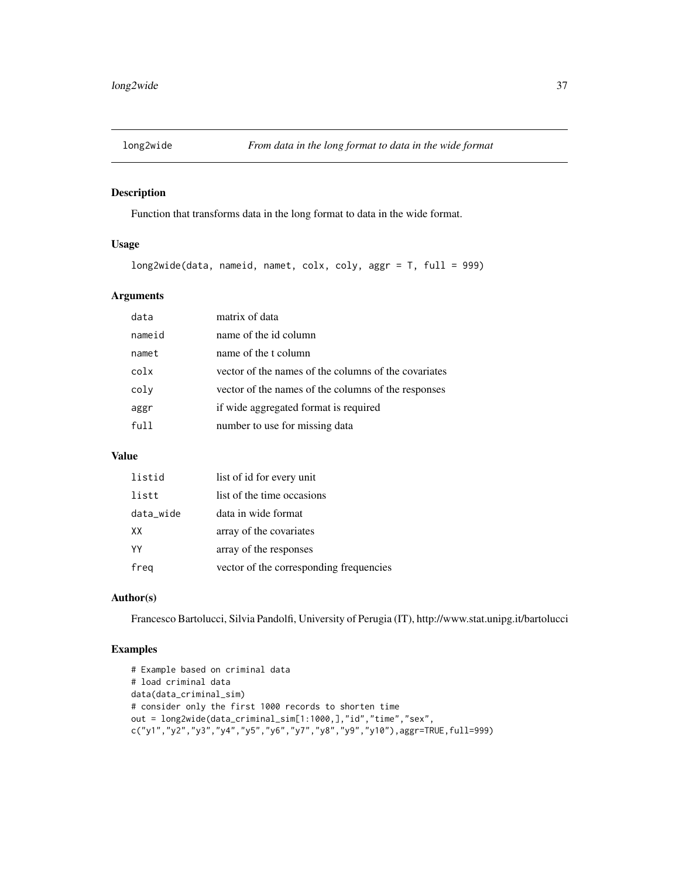<span id="page-36-0"></span>

Function that transforms data in the long format to data in the wide format.

# Usage

```
long2wide(data, nameid, namet, colx, coly, aggr = T, full = 999)
```
## Arguments

| data   | matrix of data                                       |
|--------|------------------------------------------------------|
| nameid | name of the id column                                |
| namet  | name of the t column                                 |
| colx   | vector of the names of the columns of the covariates |
| coly   | vector of the names of the columns of the responses  |
| aggr   | if wide aggregated format is required                |
| full   | number to use for missing data                       |

## Value

| listid    | list of id for every unit               |
|-----------|-----------------------------------------|
| listt     | list of the time occasions              |
| data_wide | data in wide format                     |
| XX.       | array of the covariates                 |
| YY        | array of the responses                  |
| freg      | vector of the corresponding frequencies |

## Author(s)

Francesco Bartolucci, Silvia Pandolfi, University of Perugia (IT), http://www.stat.unipg.it/bartolucci

## Examples

```
# Example based on criminal data
# load criminal data
data(data_criminal_sim)
# consider only the first 1000 records to shorten time
out = long2wide(data_criminal_sim[1:1000,],"id","time","sex",
c("y1","y2","y3","y4","y5","y6","y7","y8","y9","y10"),aggr=TRUE,full=999)
```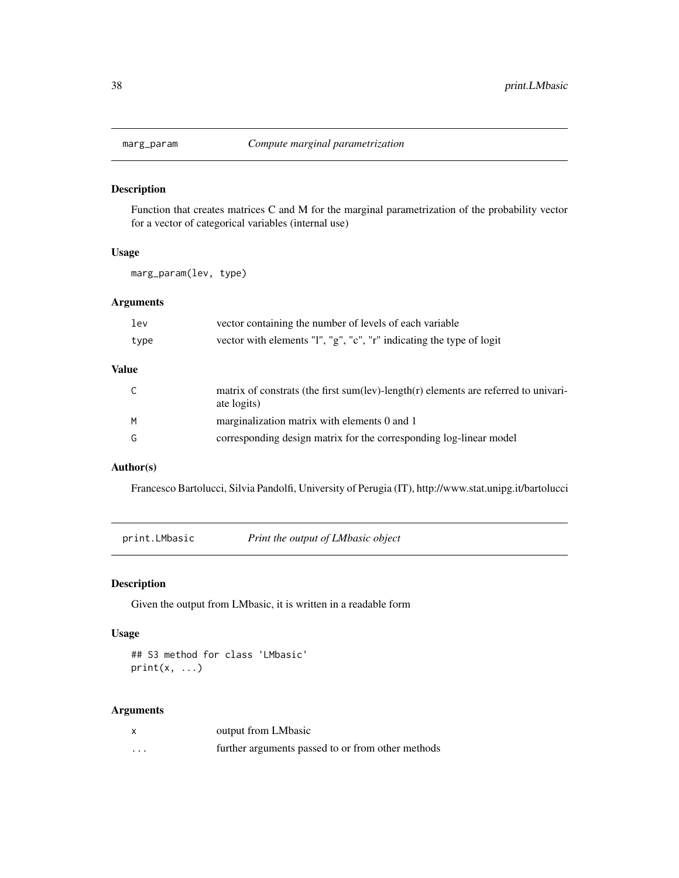<span id="page-37-0"></span>

Function that creates matrices C and M for the marginal parametrization of the probability vector for a vector of categorical variables (internal use)

## Usage

marg\_param(lev, type)

## Arguments

| lev   | vector containing the number of levels of each variable                                            |
|-------|----------------------------------------------------------------------------------------------------|
| type  | vector with elements "l", "g", "c", "r" indicating the type of logit                               |
| Value |                                                                                                    |
|       | matrix of constrats (the first sum(lev)-length(r) elements are referred to univari-<br>ate logits) |
| M     | marginalization matrix with elements 0 and 1                                                       |
| G     | corresponding design matrix for the corresponding log-linear model                                 |

#### Author(s)

Francesco Bartolucci, Silvia Pandolfi, University of Perugia (IT), http://www.stat.unipg.it/bartolucci

print.LMbasic *Print the output of LMbasic object*

## Description

Given the output from LMbasic, it is written in a readable form

## Usage

## S3 method for class 'LMbasic'  $print(x, \ldots)$ 

#### Arguments

|   | output from LMbasic                               |
|---|---------------------------------------------------|
| . | further arguments passed to or from other methods |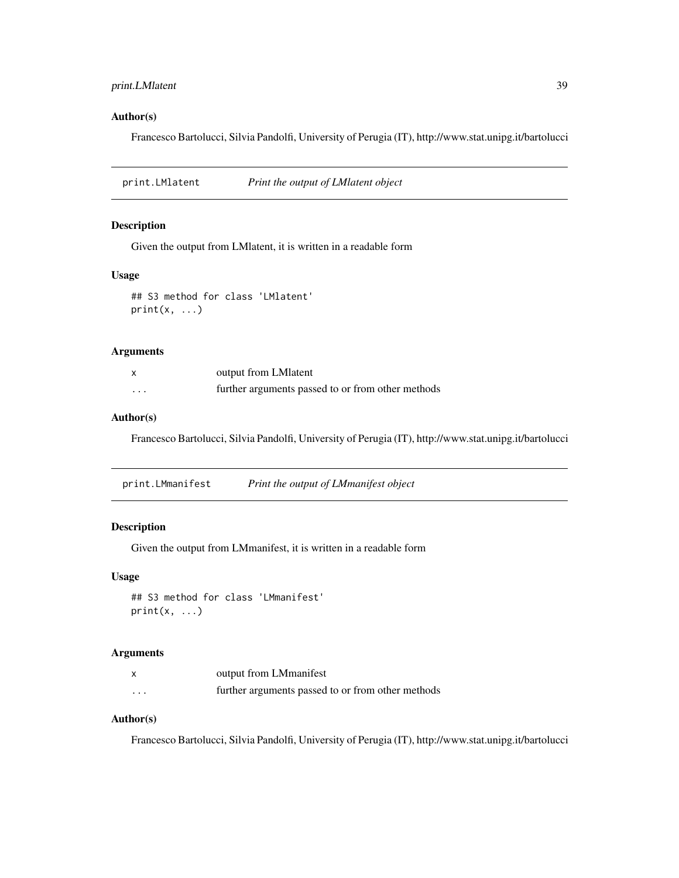## <span id="page-38-0"></span>print.LMlatent 39

## Author(s)

Francesco Bartolucci, Silvia Pandolfi, University of Perugia (IT), http://www.stat.unipg.it/bartolucci

print.LMlatent *Print the output of LMlatent object*

## Description

Given the output from LMlatent, it is written in a readable form

## Usage

```
## S3 method for class 'LMlatent'
print(x, \ldots)
```
#### Arguments

|   | output from LM1 at ent                            |
|---|---------------------------------------------------|
| . | further arguments passed to or from other methods |

#### Author(s)

Francesco Bartolucci, Silvia Pandolfi, University of Perugia (IT), http://www.stat.unipg.it/bartolucci

print.LMmanifest *Print the output of LMmanifest object*

## Description

Given the output from LMmanifest, it is written in a readable form

#### Usage

```
## S3 method for class 'LMmanifest'
print(x, \ldots)
```
#### Arguments

|                      | output from LMmanifest                            |
|----------------------|---------------------------------------------------|
| $\ddot{\phantom{0}}$ | further arguments passed to or from other methods |

## Author(s)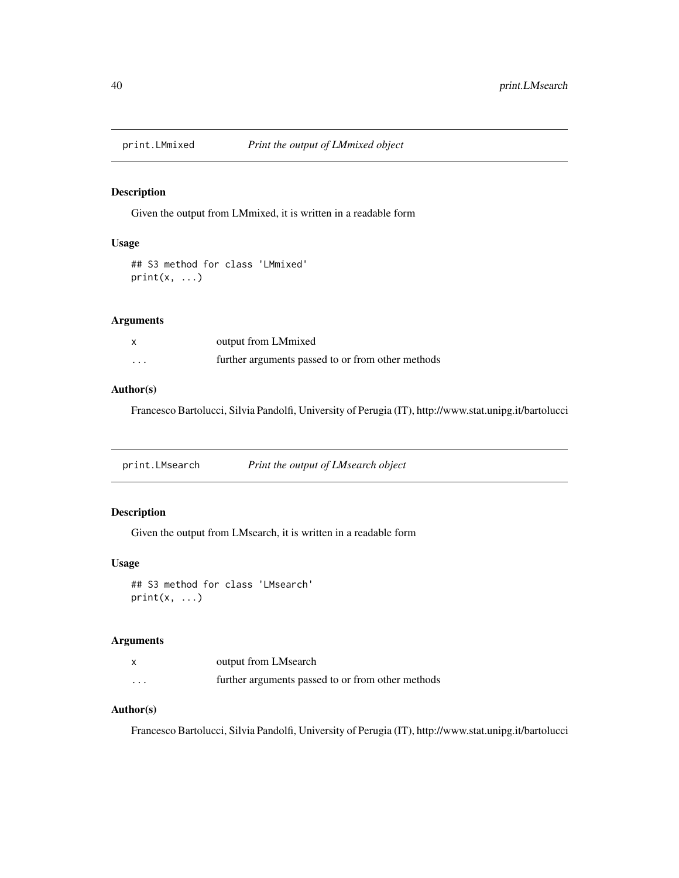<span id="page-39-0"></span>

Given the output from LMmixed, it is written in a readable form

## Usage

## S3 method for class 'LMmixed'  $print(x, \ldots)$ 

## Arguments

|   | output from LMmixed                               |
|---|---------------------------------------------------|
| . | further arguments passed to or from other methods |

## Author(s)

Francesco Bartolucci, Silvia Pandolfi, University of Perugia (IT), http://www.stat.unipg.it/bartolucci

print.LMsearch *Print the output of LMsearch object*

## Description

Given the output from LMsearch, it is written in a readable form

## Usage

```
## S3 method for class 'LMsearch'
print(x, \ldots)
```
# Arguments

|          | output from LMsearch                              |
|----------|---------------------------------------------------|
| $\cdots$ | further arguments passed to or from other methods |

## Author(s)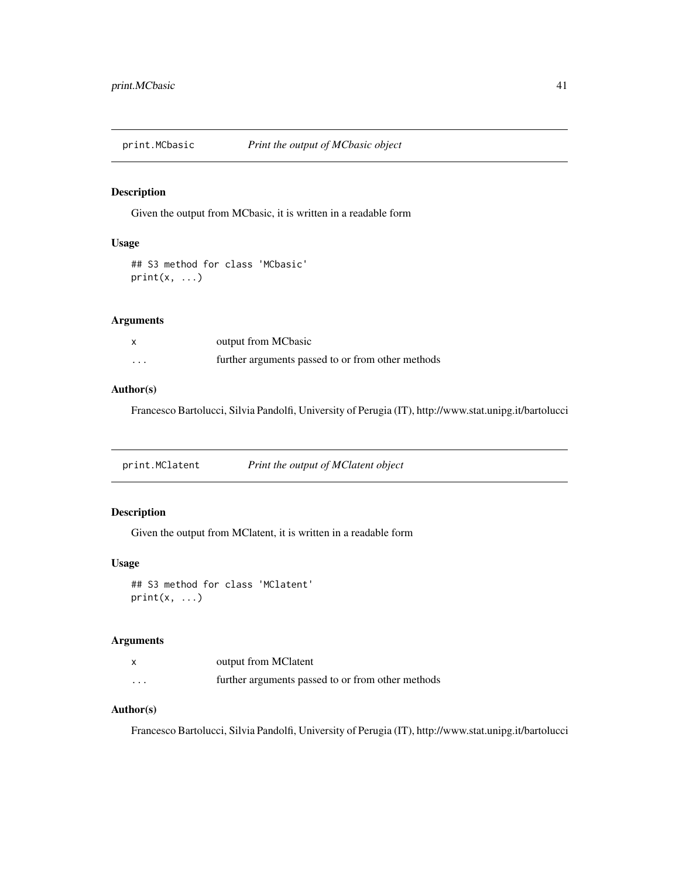<span id="page-40-0"></span>

Given the output from MCbasic, it is written in a readable form

## Usage

## S3 method for class 'MCbasic'  $print(x, \ldots)$ 

## Arguments

|   | output from MCbasic                               |
|---|---------------------------------------------------|
| . | further arguments passed to or from other methods |

## Author(s)

Francesco Bartolucci, Silvia Pandolfi, University of Perugia (IT), http://www.stat.unipg.it/bartolucci

print.MClatent *Print the output of MClatent object*

## Description

Given the output from MClatent, it is written in a readable form

## Usage

```
## S3 method for class 'MClatent'
print(x, \ldots)
```
# Arguments

|          | output from MClatent                              |
|----------|---------------------------------------------------|
| $\cdots$ | further arguments passed to or from other methods |

# Author(s)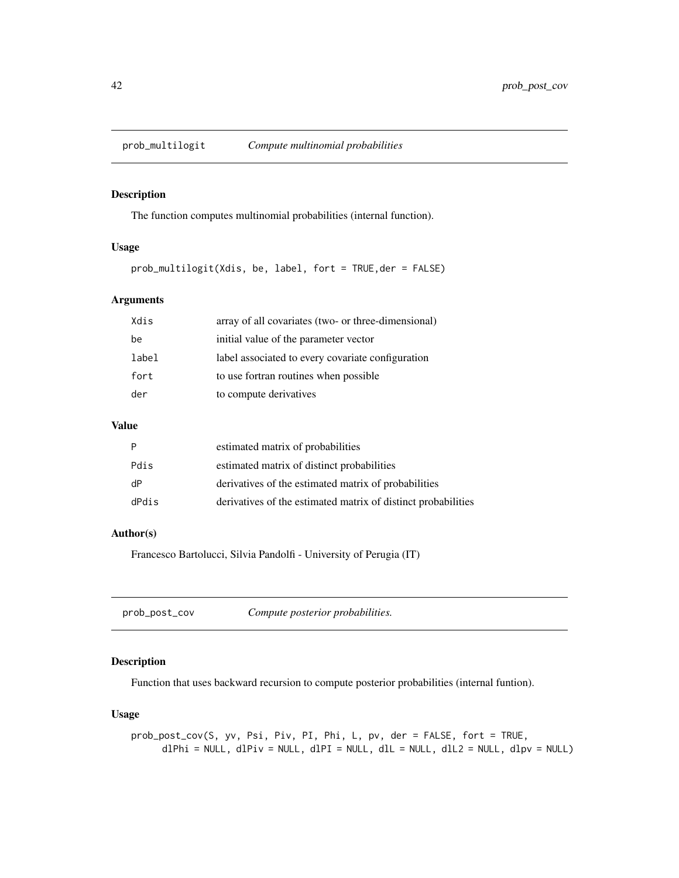<span id="page-41-0"></span>

The function computes multinomial probabilities (internal function).

#### Usage

prob\_multilogit(Xdis, be, label, fort = TRUE,der = FALSE)

## Arguments

| Xdis  | array of all covariates (two- or three-dimensional) |
|-------|-----------------------------------------------------|
| be    | initial value of the parameter vector               |
| label | label associated to every covariate configuration   |
| fort  | to use fortran routines when possible               |
| der   | to compute derivatives                              |
|       |                                                     |

## Value

| P     | estimated matrix of probabilities                             |
|-------|---------------------------------------------------------------|
| Pdis  | estimated matrix of distinct probabilities                    |
| dP    | derivatives of the estimated matrix of probabilities          |
| dPdis | derivatives of the estimated matrix of distinct probabilities |

#### Author(s)

Francesco Bartolucci, Silvia Pandolfi - University of Perugia (IT)

## Description

Function that uses backward recursion to compute posterior probabilities (internal funtion).

## Usage

prob\_post\_cov(S, yv, Psi, Piv, PI, Phi, L, pv, der = FALSE, fort = TRUE,  $dPhi = NULL, dPiv = NULL, dPI = NULL, dIL = NULL, dIL = NULL, dIL2 = NULL, dDv = NULL)$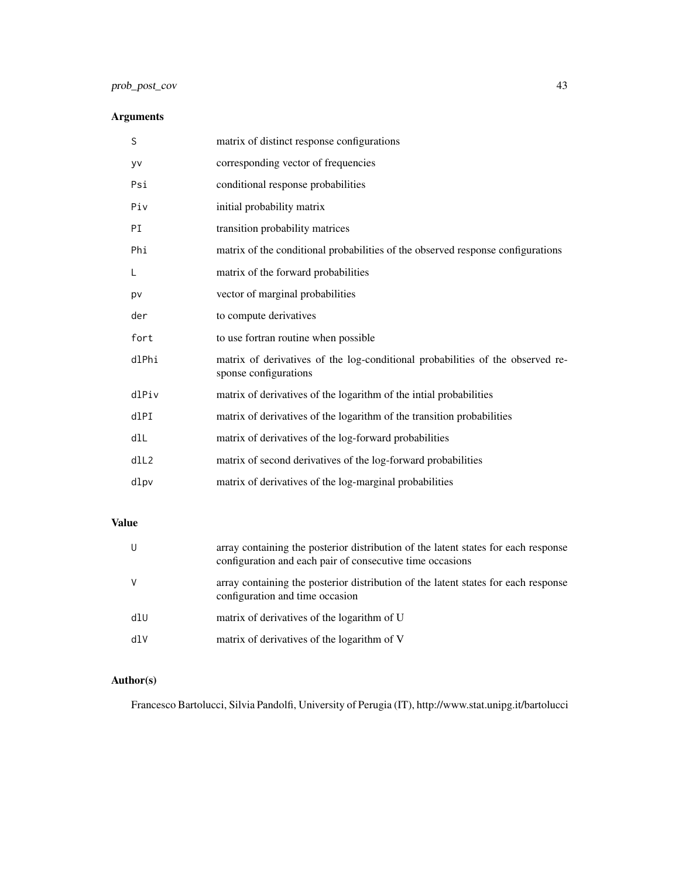# prob\_post\_cov 43

# Arguments

| S     | matrix of distinct response configurations                                                              |
|-------|---------------------------------------------------------------------------------------------------------|
| yv    | corresponding vector of frequencies                                                                     |
| Psi   | conditional response probabilities                                                                      |
| Piv   | initial probability matrix                                                                              |
| PI    | transition probability matrices                                                                         |
| Phi   | matrix of the conditional probabilities of the observed response configurations                         |
| L     | matrix of the forward probabilities                                                                     |
| pv    | vector of marginal probabilities                                                                        |
| der   | to compute derivatives                                                                                  |
| fort  | to use fortran routine when possible                                                                    |
| dlPhi | matrix of derivatives of the log-conditional probabilities of the observed re-<br>sponse configurations |
| dlPiv | matrix of derivatives of the logarithm of the intial probabilities                                      |
| dlPI  | matrix of derivatives of the logarithm of the transition probabilities                                  |
| dlL   | matrix of derivatives of the log-forward probabilities                                                  |
| dll2  | matrix of second derivatives of the log-forward probabilities                                           |
| dlpv  | matrix of derivatives of the log-marginal probabilities                                                 |

# Value

| U   | array containing the posterior distribution of the latent states for each response<br>configuration and each pair of consecutive time occasions |
|-----|-------------------------------------------------------------------------------------------------------------------------------------------------|
| V   | array containing the posterior distribution of the latent states for each response<br>configuration and time occasion                           |
| dlU | matrix of derivatives of the logarithm of U                                                                                                     |
| dlV | matrix of derivatives of the logarithm of V                                                                                                     |

# Author(s)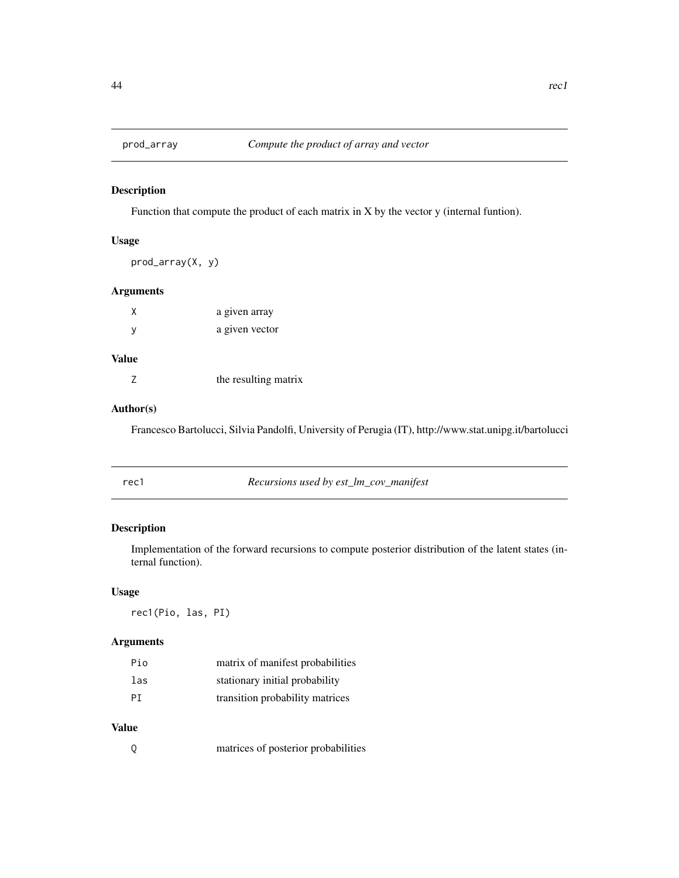<span id="page-43-0"></span>

Function that compute the product of each matrix in X by the vector y (internal funtion).

## Usage

```
prod_array(X, y)
```
## Arguments

| χ | a given array  |
|---|----------------|
| у | a given vector |

# Value

| the resulting matrix |
|----------------------|

# Author(s)

Francesco Bartolucci, Silvia Pandolfi, University of Perugia (IT), http://www.stat.unipg.it/bartolucci

| rec1 | Recursions used by est_lm_cov_manifest |  |
|------|----------------------------------------|--|
|      |                                        |  |

## Description

Implementation of the forward recursions to compute posterior distribution of the latent states (internal function).

## Usage

rec1(Pio, las, PI)

## Arguments

| Pio | matrix of manifest probabilities |
|-----|----------------------------------|
| las | stationary initial probability   |
| PT  | transition probability matrices  |

# Value

|  | matrices of posterior probabilities |
|--|-------------------------------------|
|  |                                     |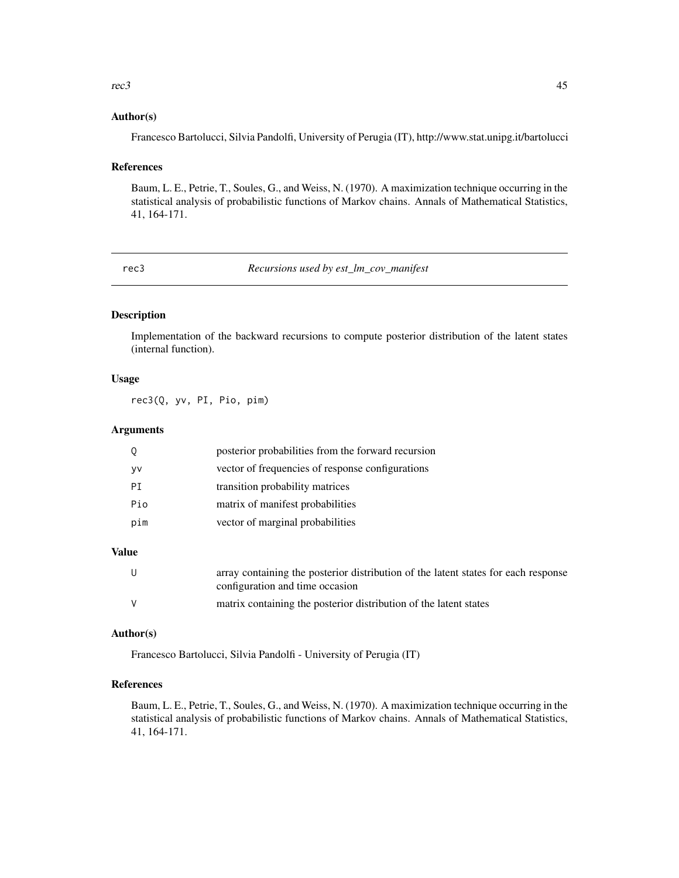#### <span id="page-44-0"></span> $r = 45$

#### Author(s)

Francesco Bartolucci, Silvia Pandolfi, University of Perugia (IT), http://www.stat.unipg.it/bartolucci

#### References

Baum, L. E., Petrie, T., Soules, G., and Weiss, N. (1970). A maximization technique occurring in the statistical analysis of probabilistic functions of Markov chains. Annals of Mathematical Statistics, 41, 164-171.

rec3 *Recursions used by est\_lm\_cov\_manifest*

## Description

Implementation of the backward recursions to compute posterior distribution of the latent states (internal function).

## Usage

rec3(Q, yv, PI, Pio, pim)

#### Arguments

|     | posterior probabilities from the forward recursion |
|-----|----------------------------------------------------|
| yv  | vector of frequencies of response configurations   |
| PT  | transition probability matrices                    |
| Pio | matrix of manifest probabilities                   |
| pim | vector of marginal probabilities                   |
|     |                                                    |

## Value

| U | array containing the posterior distribution of the latent states for each response<br>configuration and time occasion |
|---|-----------------------------------------------------------------------------------------------------------------------|
| V | matrix containing the posterior distribution of the latent states                                                     |

#### Author(s)

Francesco Bartolucci, Silvia Pandolfi - University of Perugia (IT)

#### References

Baum, L. E., Petrie, T., Soules, G., and Weiss, N. (1970). A maximization technique occurring in the statistical analysis of probabilistic functions of Markov chains. Annals of Mathematical Statistics, 41, 164-171.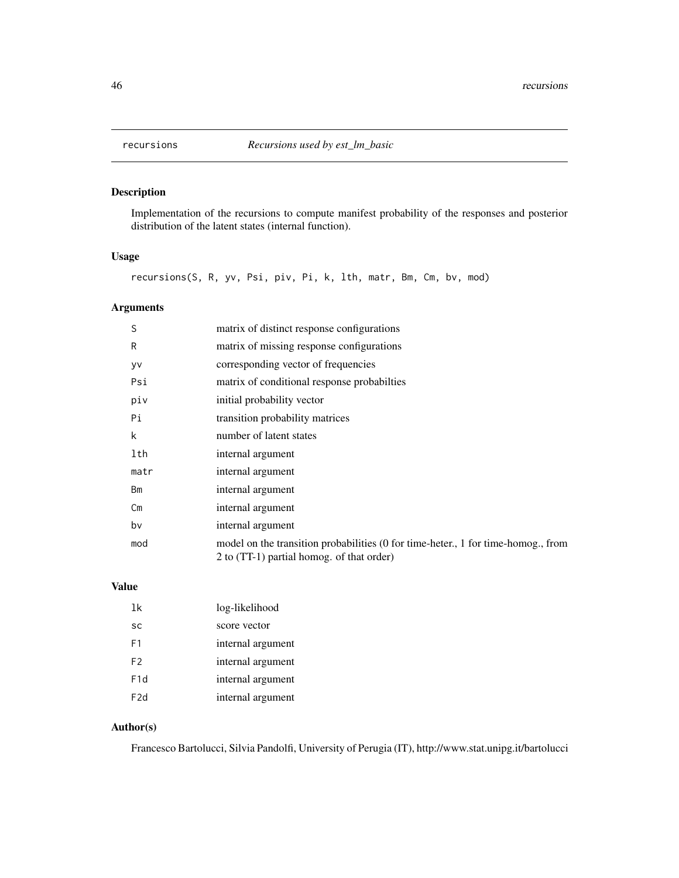<span id="page-45-0"></span>

Implementation of the recursions to compute manifest probability of the responses and posterior distribution of the latent states (internal function).

## Usage

recursions(S, R, yv, Psi, piv, Pi, k, lth, matr, Bm, Cm, bv, mod)

## Arguments

| S    | matrix of distinct response configurations                                                                                    |
|------|-------------------------------------------------------------------------------------------------------------------------------|
| R    | matrix of missing response configurations                                                                                     |
| yv   | corresponding vector of frequencies                                                                                           |
| Psi  | matrix of conditional response probabilities                                                                                  |
| piv  | initial probability vector                                                                                                    |
| Pi   | transition probability matrices                                                                                               |
| k    | number of latent states                                                                                                       |
| lth  | internal argument                                                                                                             |
| matr | internal argument                                                                                                             |
| Bm   | internal argument                                                                                                             |
| Cm   | internal argument                                                                                                             |
| bv   | internal argument                                                                                                             |
| mod  | model on the transition probabilities (0 for time-heter, 1 for time-homog., from<br>2 to (TT-1) partial homog. of that order) |

# Value

| 1k               | log-likelihood    |
|------------------|-------------------|
| SC               | score vector      |
| F1               | internal argument |
| F2               | internal argument |
| F <sub>1</sub> d | internal argument |
| F <sub>2</sub> d | internal argument |

# Author(s)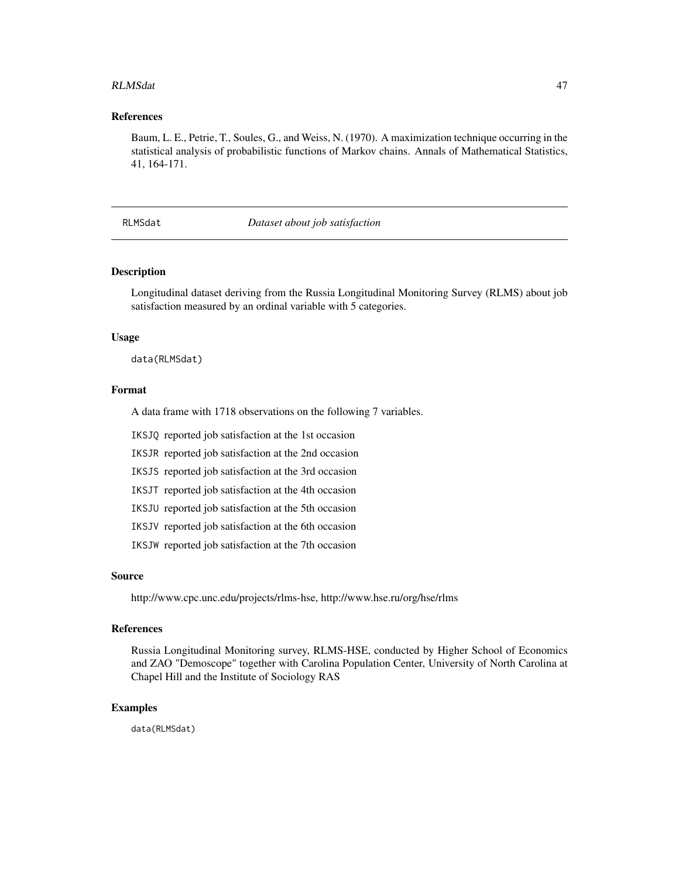#### <span id="page-46-0"></span>RLMSdat 47

#### References

Baum, L. E., Petrie, T., Soules, G., and Weiss, N. (1970). A maximization technique occurring in the statistical analysis of probabilistic functions of Markov chains. Annals of Mathematical Statistics, 41, 164-171.

## RLMSdat *Dataset about job satisfaction*

#### Description

Longitudinal dataset deriving from the Russia Longitudinal Monitoring Survey (RLMS) about job satisfaction measured by an ordinal variable with 5 categories.

#### Usage

data(RLMSdat)

## Format

A data frame with 1718 observations on the following 7 variables.

IKSJQ reported job satisfaction at the 1st occasion

IKSJR reported job satisfaction at the 2nd occasion

IKSJS reported job satisfaction at the 3rd occasion

IKSJT reported job satisfaction at the 4th occasion

IKSJU reported job satisfaction at the 5th occasion

IKSJV reported job satisfaction at the 6th occasion

IKSJW reported job satisfaction at the 7th occasion

#### Source

http://www.cpc.unc.edu/projects/rlms-hse, http://www.hse.ru/org/hse/rlms

#### References

Russia Longitudinal Monitoring survey, RLMS-HSE, conducted by Higher School of Economics and ZAO "Demoscope" together with Carolina Population Center, University of North Carolina at Chapel Hill and the Institute of Sociology RAS

## Examples

data(RLMSdat)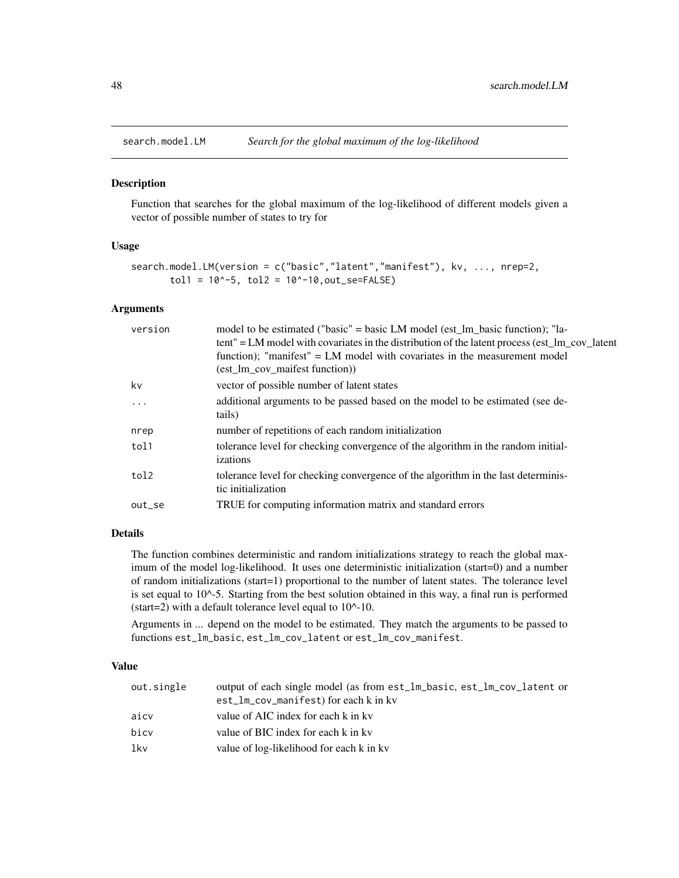<span id="page-47-0"></span>

Function that searches for the global maximum of the log-likelihood of different models given a vector of possible number of states to try for

#### Usage

```
search.model.LM(version = c("basic","latent","manifest"), kv, ..., nrep=2,
       tol1 = 10^-5, tol2 = 10^-10,out_se=FALSE)
```
#### Arguments

| version  | model to be estimated ("basic" = basic LM model (est 1m basic function); "la-<br>tent" = LM model with covariates in the distribution of the latent process (est_lm_cov_latent<br>function); "manifest" = LM model with covariates in the measurement model<br>(est_lm_cov_maifest function)) |
|----------|-----------------------------------------------------------------------------------------------------------------------------------------------------------------------------------------------------------------------------------------------------------------------------------------------|
| kv       | vector of possible number of latent states                                                                                                                                                                                                                                                    |
| $\cdots$ | additional arguments to be passed based on the model to be estimated (see de-<br>tails)                                                                                                                                                                                                       |
| nrep     | number of repetitions of each random initialization                                                                                                                                                                                                                                           |
| tol1     | tolerance level for checking convergence of the algorithm in the random initial-<br>izations                                                                                                                                                                                                  |
| tol2     | tolerance level for checking convergence of the algorithm in the last determinis-<br>tic initialization                                                                                                                                                                                       |
| out_se   | TRUE for computing information matrix and standard errors                                                                                                                                                                                                                                     |
|          |                                                                                                                                                                                                                                                                                               |

## Details

The function combines deterministic and random initializations strategy to reach the global maximum of the model log-likelihood. It uses one deterministic initialization (start=0) and a number of random initializations (start=1) proportional to the number of latent states. The tolerance level is set equal to 10^-5. Starting from the best solution obtained in this way, a final run is performed (start=2) with a default tolerance level equal to  $10^{\text{A}}-10$ .

Arguments in ... depend on the model to be estimated. They match the arguments to be passed to functions est\_lm\_basic, est\_lm\_cov\_latent or est\_lm\_cov\_manifest.

#### Value

| out.single | output of each single model (as from est_lm_basic, est_lm_cov_latent or<br>est_lm_cov_manifest) for each k in kv |
|------------|------------------------------------------------------------------------------------------------------------------|
|            |                                                                                                                  |
| aicv       | value of AIC index for each k in kv                                                                              |
| bicy       | value of BIC index for each k in kv                                                                              |
| lkv        | value of log-likelihood for each k in kv                                                                         |
|            |                                                                                                                  |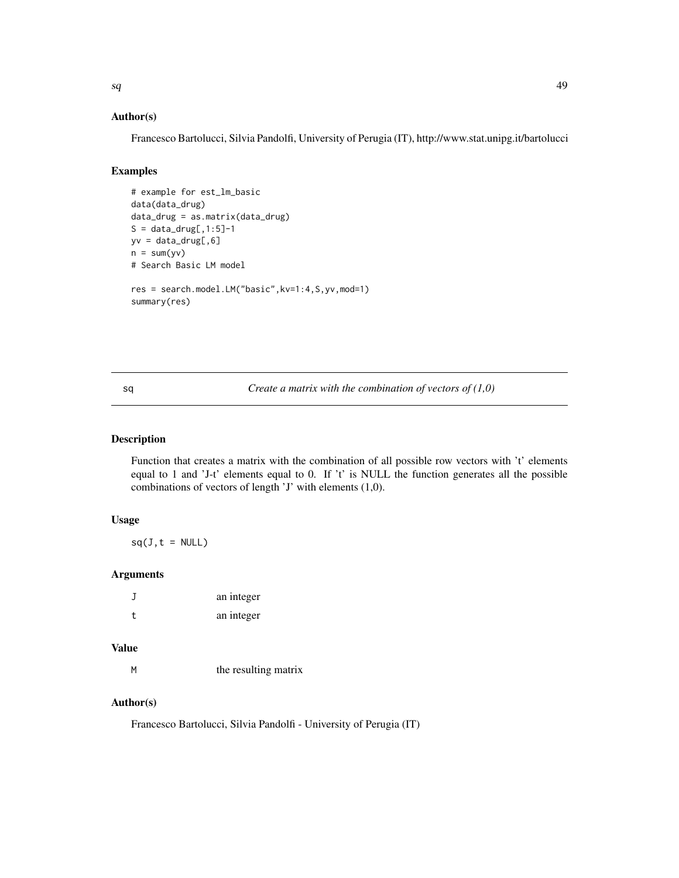<span id="page-48-0"></span>

#### Author(s)

Francesco Bartolucci, Silvia Pandolfi, University of Perugia (IT), http://www.stat.unipg.it/bartolucci

## Examples

```
# example for est_lm_basic
data(data_drug)
data_drug = as.matrix(data_drug)
S = data_drug[, 1:5]-1yv = data_drug[, 6]n = sum(yv)# Search Basic LM model
res = search.model.LM("basic",kv=1:4,S,yv,mod=1)
summary(res)
```
sq *Create a matrix with the combination of vectors of (1,0)*

## Description

Function that creates a matrix with the combination of all possible row vectors with 't' elements equal to 1 and 'J-t' elements equal to 0. If 't' is NULL the function generates all the possible combinations of vectors of length 'J' with elements (1,0).

## Usage

 $sq(J, t = NULL)$ 

## Arguments

| J  | an integer |
|----|------------|
| t. | an integer |

## Value

M the resulting matrix

#### Author(s)

Francesco Bartolucci, Silvia Pandolfi - University of Perugia (IT)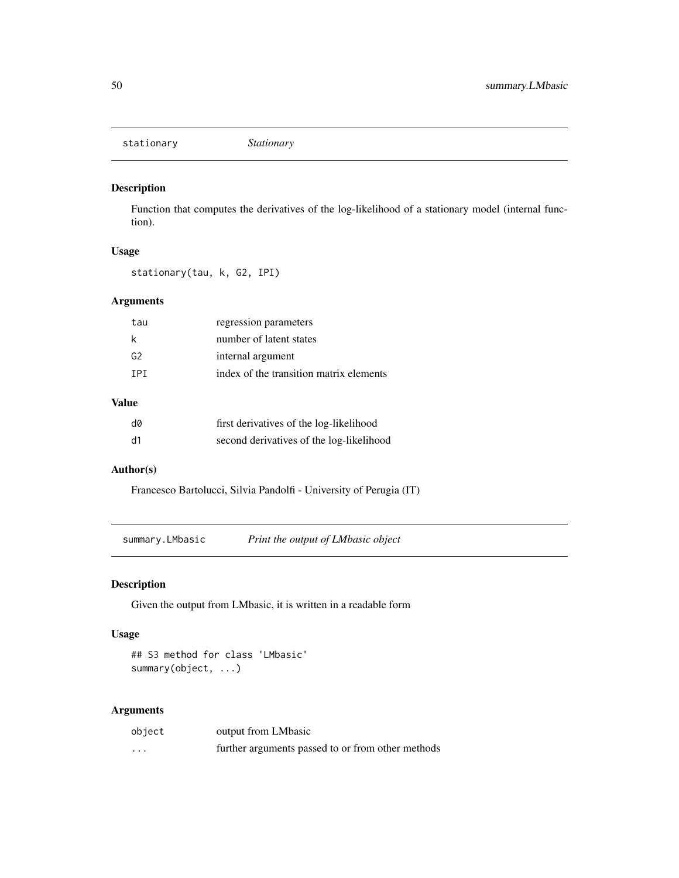<span id="page-49-0"></span>stationary *Stationary*

## Description

Function that computes the derivatives of the log-likelihood of a stationary model (internal function).

## Usage

stationary(tau, k, G2, IPI)

## Arguments

| tau  | regression parameters                   |
|------|-----------------------------------------|
|      | number of latent states                 |
| G2   | internal argument                       |
| TPT. | index of the transition matrix elements |
|      |                                         |

# Value

| d0 | first derivatives of the log-likelihood  |
|----|------------------------------------------|
| d1 | second derivatives of the log-likelihood |

# Author(s)

Francesco Bartolucci, Silvia Pandolfi - University of Perugia (IT)

summary.LMbasic *Print the output of LMbasic object*

## Description

Given the output from LMbasic, it is written in a readable form

## Usage

## S3 method for class 'LMbasic' summary(object, ...)

## Arguments

| object | output from LMbasic                               |
|--------|---------------------------------------------------|
| .      | further arguments passed to or from other methods |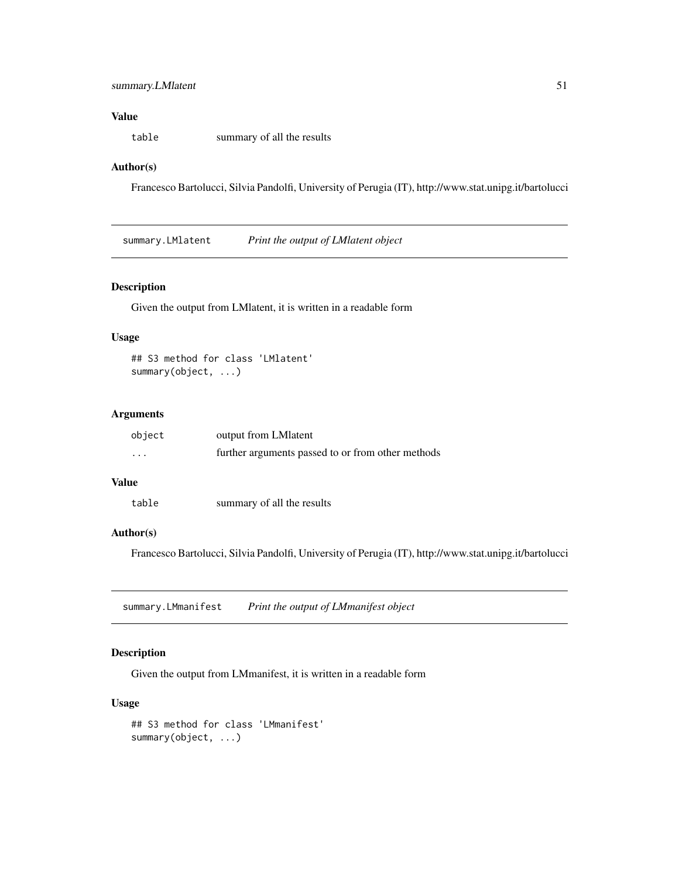## <span id="page-50-0"></span>Value

table summary of all the results

#### Author(s)

Francesco Bartolucci, Silvia Pandolfi, University of Perugia (IT), http://www.stat.unipg.it/bartolucci

summary.LMlatent *Print the output of LMlatent object*

## Description

Given the output from LMlatent, it is written in a readable form

## Usage

```
## S3 method for class 'LMlatent'
summary(object, ...)
```
## Arguments

| object  | output from LM latent                             |
|---------|---------------------------------------------------|
| $\cdot$ | further arguments passed to or from other methods |

## Value

```
table summary of all the results
```
#### Author(s)

Francesco Bartolucci, Silvia Pandolfi, University of Perugia (IT), http://www.stat.unipg.it/bartolucci

summary.LMmanifest *Print the output of LMmanifest object*

# Description

Given the output from LMmanifest, it is written in a readable form

## Usage

```
## S3 method for class 'LMmanifest'
summary(object, ...)
```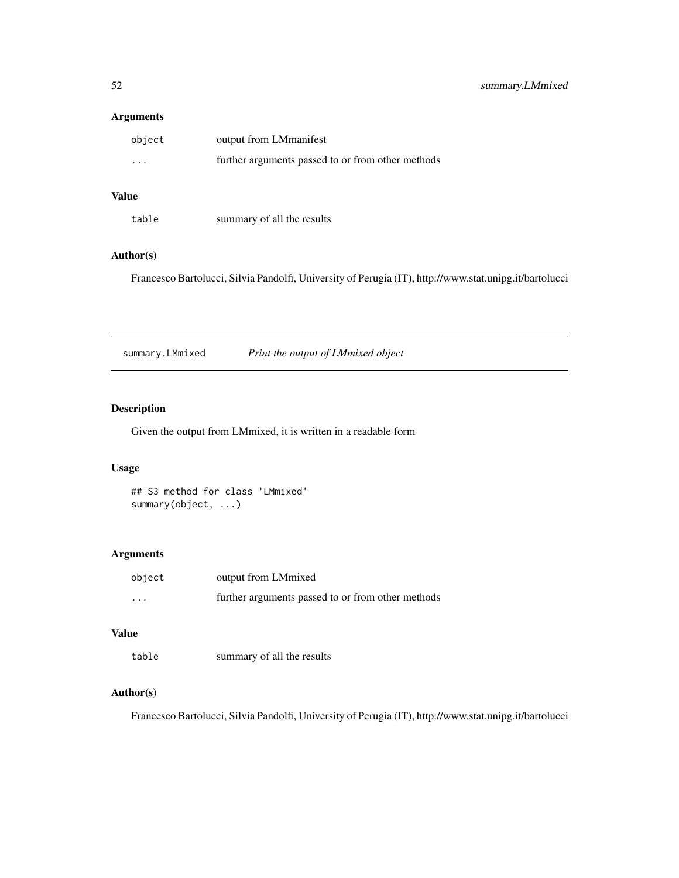## <span id="page-51-0"></span>Arguments

| object                  | output from LMmanifest                            |
|-------------------------|---------------------------------------------------|
| $\cdot$ $\cdot$ $\cdot$ | further arguments passed to or from other methods |

# Value

| table | summary of all the results |
|-------|----------------------------|
|-------|----------------------------|

## Author(s)

Francesco Bartolucci, Silvia Pandolfi, University of Perugia (IT), http://www.stat.unipg.it/bartolucci

summary.LMmixed *Print the output of LMmixed object*

# Description

Given the output from LMmixed, it is written in a readable form

#### Usage

## S3 method for class 'LMmixed' summary(object, ...)

## Arguments

| object   | output from LMmixed                               |
|----------|---------------------------------------------------|
| $\cdots$ | further arguments passed to or from other methods |

## Value

table summary of all the results

## Author(s)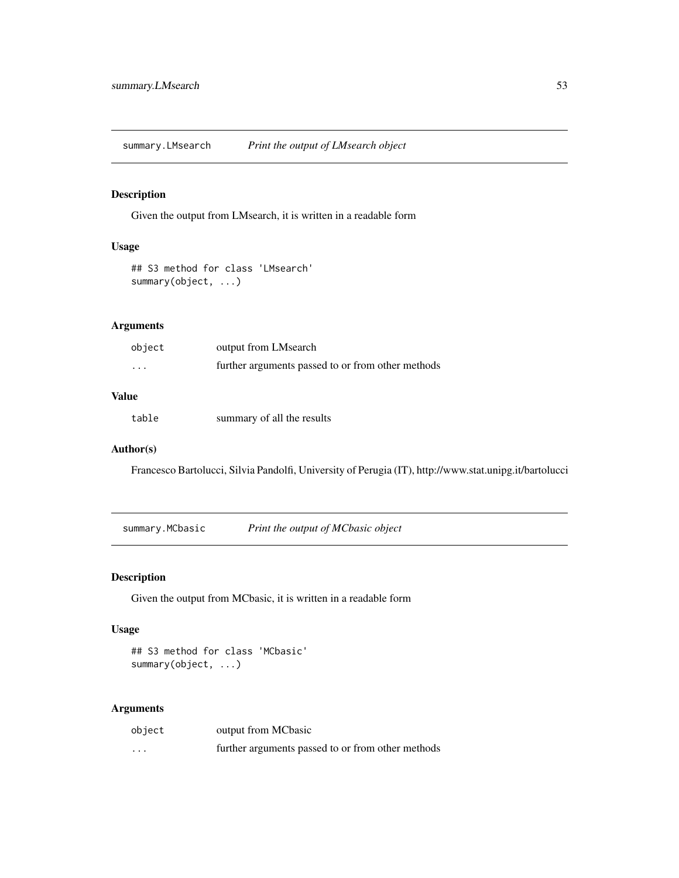<span id="page-52-0"></span>summary.LMsearch *Print the output of LMsearch object*

## Description

Given the output from LMsearch, it is written in a readable form

## Usage

## S3 method for class 'LMsearch' summary(object, ...)

## Arguments

| object               | output from LMsearch                              |
|----------------------|---------------------------------------------------|
| $\ddot{\phantom{0}}$ | further arguments passed to or from other methods |

# Value

table summary of all the results

## Author(s)

Francesco Bartolucci, Silvia Pandolfi, University of Perugia (IT), http://www.stat.unipg.it/bartolucci

summary.MCbasic *Print the output of MCbasic object*

#### Description

Given the output from MCbasic, it is written in a readable form

#### Usage

## S3 method for class 'MCbasic' summary(object, ...)

#### Arguments

| object   | output from MCbasic                               |
|----------|---------------------------------------------------|
| $\cdots$ | further arguments passed to or from other methods |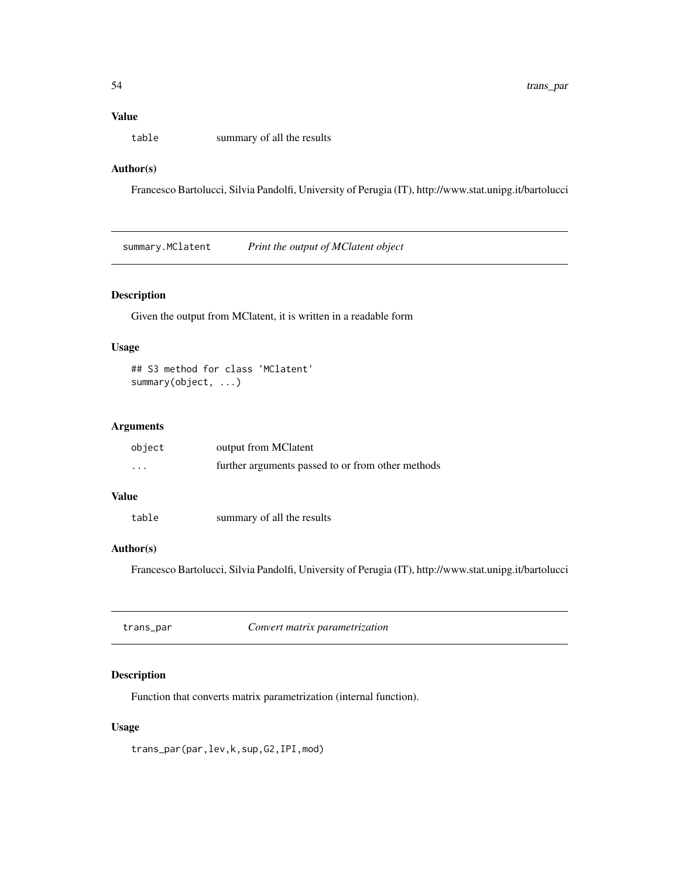## <span id="page-53-0"></span>Value

table summary of all the results

## Author(s)

Francesco Bartolucci, Silvia Pandolfi, University of Perugia (IT), http://www.stat.unipg.it/bartolucci

summary.MClatent *Print the output of MClatent object*

## Description

Given the output from MClatent, it is written in a readable form

## Usage

```
## S3 method for class 'MClatent'
summary(object, ...)
```
## Arguments

| object                  | output from MClatent                              |
|-------------------------|---------------------------------------------------|
| $\cdot$ $\cdot$ $\cdot$ | further arguments passed to or from other methods |

# Value

| table | summary of all the results |
|-------|----------------------------|
|-------|----------------------------|

# Author(s)

Francesco Bartolucci, Silvia Pandolfi, University of Perugia (IT), http://www.stat.unipg.it/bartolucci

trans\_par *Convert matrix parametrization*

## Description

Function that converts matrix parametrization (internal function).

## Usage

trans\_par(par,lev,k,sup,G2,IPI,mod)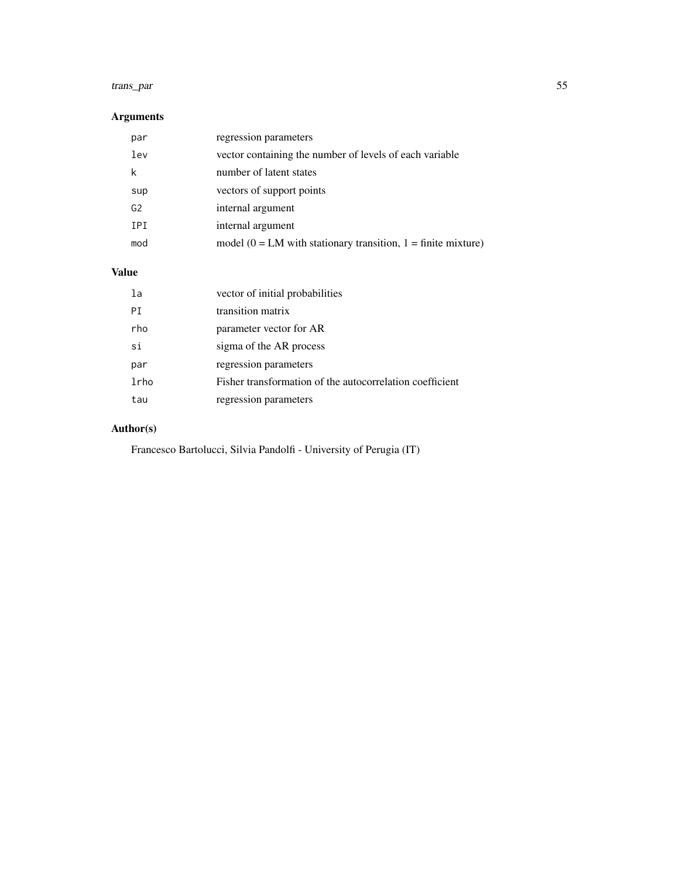#### trans\_par 55

# Arguments

| par            | regression parameters                                              |
|----------------|--------------------------------------------------------------------|
| lev            | vector containing the number of levels of each variable            |
| k              | number of latent states                                            |
| sup            | vectors of support points                                          |
| G <sub>2</sub> | internal argument                                                  |
| <b>IPI</b>     | internal argument                                                  |
| mod            | model ( $0 = LM$ with stationary transition, $1 =$ finite mixture) |

# Value

| la   | vector of initial probabilities                          |
|------|----------------------------------------------------------|
| PI   | transition matrix                                        |
| rho  | parameter vector for AR                                  |
| si   | sigma of the AR process                                  |
| par  | regression parameters                                    |
| lrho | Fisher transformation of the autocorrelation coefficient |
| tau  | regression parameters                                    |

# Author(s)

Francesco Bartolucci, Silvia Pandolfi - University of Perugia (IT)